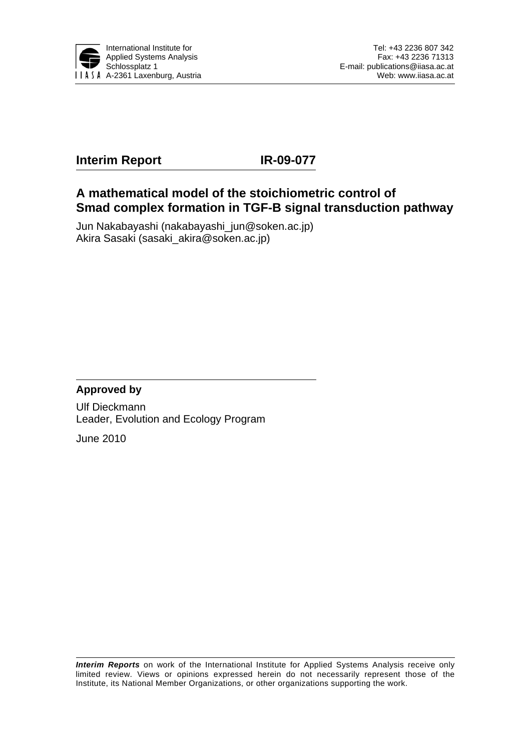

# **Interim Report IR-09-077**

## **A mathematical model of the stoichiometric control of Smad complex formation in TGF-B signal transduction pathway**

Jun Nakabayashi (nakabayashi\_jun@soken.ac.jp) Akira Sasaki (sasaki akira@soken.ac.jp)

## **Approved by**

Ulf Dieckmann Leader, Evolution and Ecology Program

June 2010

*Interim Reports* on work of the International Institute for Applied Systems Analysis receive only limited review. Views or opinions expressed herein do not necessarily represent those of the Institute, its National Member Organizations, or other organizations supporting the work.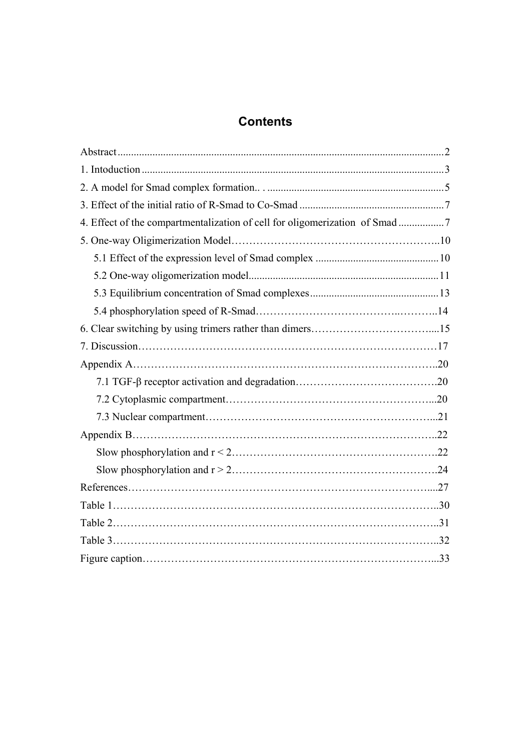# **Contents**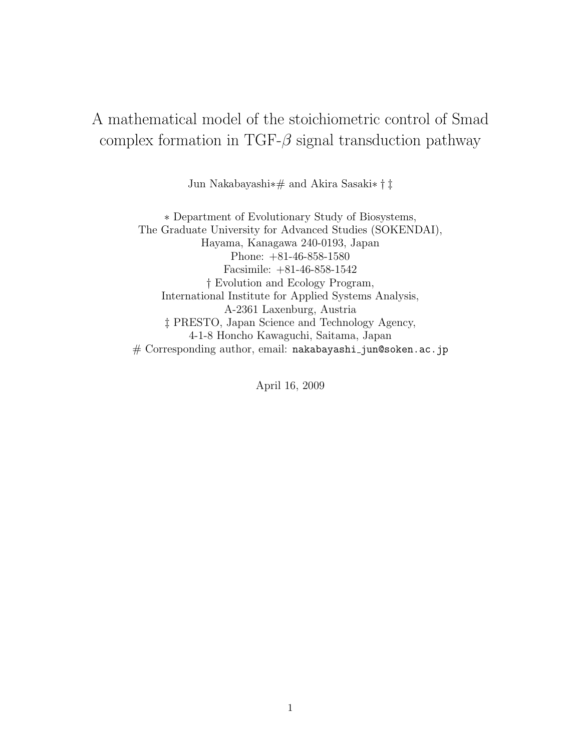# A mathematical model of the stoichiometric control of Smad complex formation in TGF- $\beta$  signal transduction pathway

Jun Nakabayashi∗# and Akira Sasaki∗ † ‡

∗ Department of Evolutionary Study of Biosystems, The Graduate University for Advanced Studies (SOKENDAI), Hayama, Kanagawa 240-0193, Japan Phone: +81-46-858-1580 Facsimile: +81-46-858-1542 † Evolution and Ecology Program, International Institute for Applied Systems Analysis, A-2361 Laxenburg, Austria ‡ PRESTO, Japan Science and Technology Agency, 4-1-8 Honcho Kawaguchi, Saitama, Japan  $#$  Corresponding author, email: nakabayashi\_jun@soken.ac.jp

April 16, 2009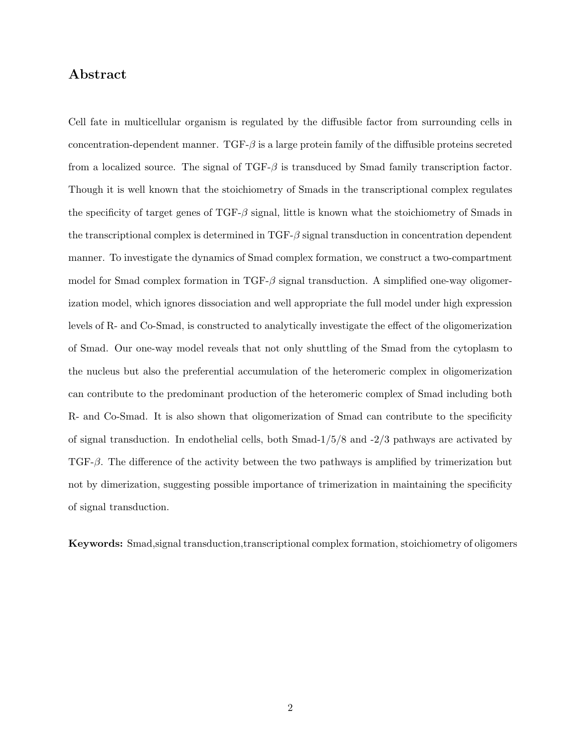## Abstract

Cell fate in multicellular organism is regulated by the diffusible factor from surrounding cells in concentration-dependent manner. TGF- $\beta$  is a large protein family of the diffusible proteins secreted from a localized source. The signal of  $TGF-\beta$  is transduced by Smad family transcription factor. Though it is well known that the stoichiometry of Smads in the transcriptional complex regulates the specificity of target genes of  $TGF-\beta$  signal, little is known what the stoichiometry of Smads in the transcriptional complex is determined in  $TGF-\beta$  signal transduction in concentration dependent manner. To investigate the dynamics of Smad complex formation, we construct a two-compartment model for Smad complex formation in TGF-β signal transduction. A simplified one-way oligomerization model, which ignores dissociation and well appropriate the full model under high expression levels of R- and Co-Smad, is constructed to analytically investigate the effect of the oligomerization of Smad. Our one-way model reveals that not only shuttling of the Smad from the cytoplasm to the nucleus but also the preferential accumulation of the heteromeric complex in oligomerization can contribute to the predominant production of the heteromeric complex of Smad including both R- and Co-Smad. It is also shown that oligomerization of Smad can contribute to the specificity of signal transduction. In endothelial cells, both  $\text{Smad-1}/5/8$  and  $-2/3$  pathways are activated by TGF- $\beta$ . The difference of the activity between the two pathways is amplified by trimerization but not by dimerization, suggesting possible importance of trimerization in maintaining the specificity of signal transduction.

Keywords: Smad,signal transduction,transcriptional complex formation, stoichiometry of oligomers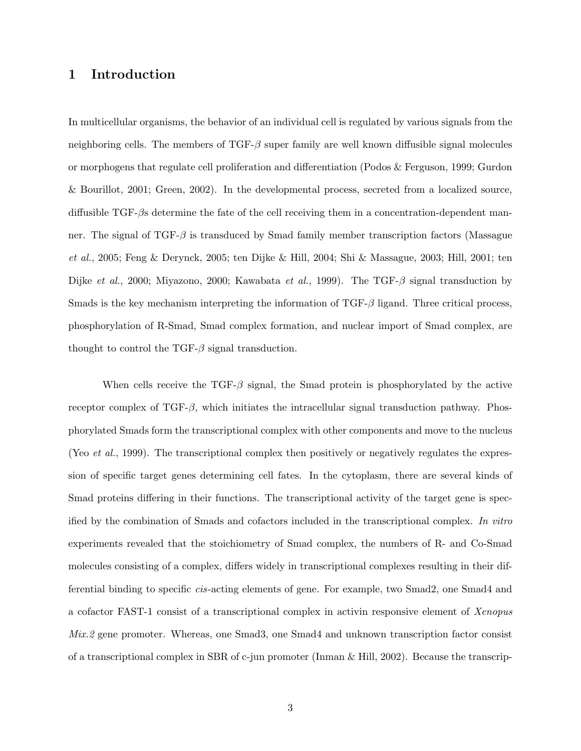## 1 Introduction

In multicellular organisms, the behavior of an individual cell is regulated by various signals from the neighboring cells. The members of  $TGF-\beta$  super family are well known diffusible signal molecules or morphogens that regulate cell proliferation and differentiation (Podos & Ferguson, 1999; Gurdon & Bourillot, 2001; Green, 2002). In the developmental process, secreted from a localized source, diffusible TGF-βs determine the fate of the cell receiving them in a concentration-dependent manner. The signal of TGF-β is transduced by Smad family member transcription factors (Massague et al., 2005; Feng & Derynck, 2005; ten Dijke & Hill, 2004; Shi & Massague, 2003; Hill, 2001; ten Dijke et al., 2000; Miyazono, 2000; Kawabata et al., 1999). The TGF- $\beta$  signal transduction by Smads is the key mechanism interpreting the information of  $TGF-\beta$  ligand. Three critical process, phosphorylation of R-Smad, Smad complex formation, and nuclear import of Smad complex, are thought to control the TGF- $\beta$  signal transduction.

When cells receive the TGF- $\beta$  signal, the Smad protein is phosphorylated by the active receptor complex of  $TGF-\beta$ , which initiates the intracellular signal transduction pathway. Phosphorylated Smads form the transcriptional complex with other components and move to the nucleus (Yeo et al., 1999). The transcriptional complex then positively or negatively regulates the expression of specific target genes determining cell fates. In the cytoplasm, there are several kinds of Smad proteins differing in their functions. The transcriptional activity of the target gene is specified by the combination of Smads and cofactors included in the transcriptional complex. In vitro experiments revealed that the stoichiometry of Smad complex, the numbers of R- and Co-Smad molecules consisting of a complex, differs widely in transcriptional complexes resulting in their differential binding to specific cis-acting elements of gene. For example, two Smad2, one Smad4 and a cofactor FAST-1 consist of a transcriptional complex in activin responsive element of Xenopus Mix.2 gene promoter. Whereas, one Smad3, one Smad4 and unknown transcription factor consist of a transcriptional complex in SBR of c-jun promoter (Inman & Hill, 2002). Because the transcrip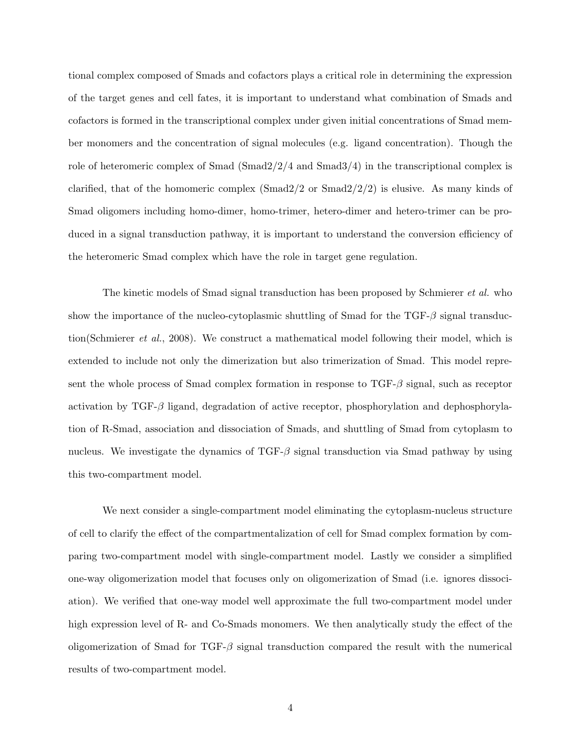tional complex composed of Smads and cofactors plays a critical role in determining the expression of the target genes and cell fates, it is important to understand what combination of Smads and cofactors is formed in the transcriptional complex under given initial concentrations of Smad member monomers and the concentration of signal molecules (e.g. ligand concentration). Though the role of heteromeric complex of Smad  $(Smad2/2/4$  and  $Smad3/4)$  in the transcriptional complex is clarified, that of the homomeric complex  $(Smad2/2 \text{ or } Smad2/2/2)$  is elusive. As many kinds of Smad oligomers including homo-dimer, homo-trimer, hetero-dimer and hetero-trimer can be produced in a signal transduction pathway, it is important to understand the conversion efficiency of the heteromeric Smad complex which have the role in target gene regulation.

The kinetic models of Smad signal transduction has been proposed by Schmierer *et al.* who show the importance of the nucleo-cytoplasmic shuttling of Smad for the TGF- $\beta$  signal transduction(Schmierer et al., 2008). We construct a mathematical model following their model, which is extended to include not only the dimerization but also trimerization of Smad. This model represent the whole process of Smad complex formation in response to  $TGF-\beta$  signal, such as receptor activation by  $TGF-\beta$  ligand, degradation of active receptor, phosphorylation and dephosphorylation of R-Smad, association and dissociation of Smads, and shuttling of Smad from cytoplasm to nucleus. We investigate the dynamics of  $TGF-\beta$  signal transduction via Smad pathway by using this two-compartment model.

We next consider a single-compartment model eliminating the cytoplasm-nucleus structure of cell to clarify the effect of the compartmentalization of cell for Smad complex formation by comparing two-compartment model with single-compartment model. Lastly we consider a simplified one-way oligomerization model that focuses only on oligomerization of Smad (i.e. ignores dissociation). We verified that one-way model well approximate the full two-compartment model under high expression level of R- and Co-Smads monomers. We then analytically study the effect of the oligomerization of Smad for  $TGF-\beta$  signal transduction compared the result with the numerical results of two-compartment model.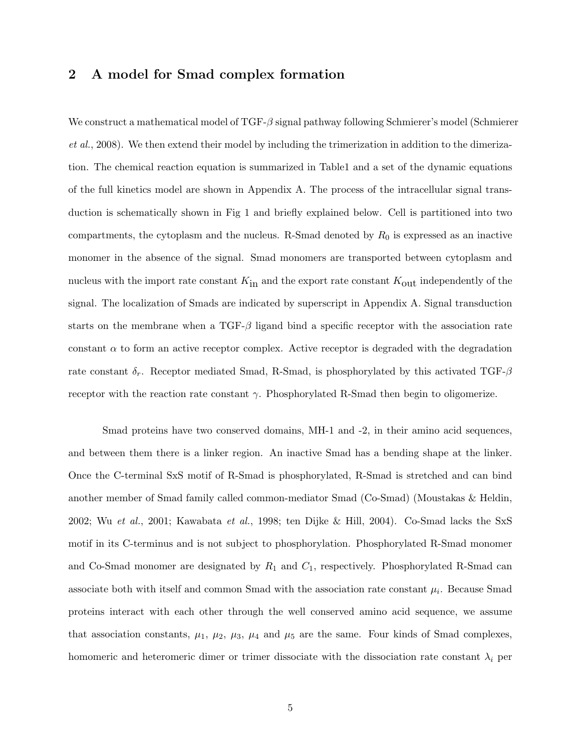### 2 A model for Smad complex formation

We construct a mathematical model of TGF-β signal pathway following Schmierer's model (Schmierer et al., 2008). We then extend their model by including the trimerization in addition to the dimerization. The chemical reaction equation is summarized in Table1 and a set of the dynamic equations of the full kinetics model are shown in Appendix A. The process of the intracellular signal transduction is schematically shown in Fig 1 and briefly explained below. Cell is partitioned into two compartments, the cytoplasm and the nucleus. R-Smad denoted by  $R_0$  is expressed as an inactive monomer in the absence of the signal. Smad monomers are transported between cytoplasm and nucleus with the import rate constant  $K_{\text{in}}$  and the export rate constant  $K_{\text{out}}$  independently of the signal. The localization of Smads are indicated by superscript in Appendix A. Signal transduction starts on the membrane when a TGF- $\beta$  ligand bind a specific receptor with the association rate constant  $\alpha$  to form an active receptor complex. Active receptor is degraded with the degradation rate constant  $\delta_r$ . Receptor mediated Smad, R-Smad, is phosphorylated by this activated TGF- $\beta$ receptor with the reaction rate constant  $\gamma$ . Phosphorylated R-Smad then begin to oligomerize.

Smad proteins have two conserved domains, MH-1 and -2, in their amino acid sequences, and between them there is a linker region. An inactive Smad has a bending shape at the linker. Once the C-terminal SxS motif of R-Smad is phosphorylated, R-Smad is stretched and can bind another member of Smad family called common-mediator Smad (Co-Smad) (Moustakas & Heldin, 2002; Wu et al., 2001; Kawabata et al., 1998; ten Dijke & Hill, 2004). Co-Smad lacks the SxS motif in its C-terminus and is not subject to phosphorylation. Phosphorylated R-Smad monomer and Co-Smad monomer are designated by  $R_1$  and  $C_1$ , respectively. Phosphorylated R-Smad can associate both with itself and common Smad with the association rate constant  $\mu_i$ . Because Smad proteins interact with each other through the well conserved amino acid sequence, we assume that association constants,  $\mu_1$ ,  $\mu_2$ ,  $\mu_3$ ,  $\mu_4$  and  $\mu_5$  are the same. Four kinds of Smad complexes, homomeric and heteromeric dimer or trimer dissociate with the dissociation rate constant  $\lambda_i$  per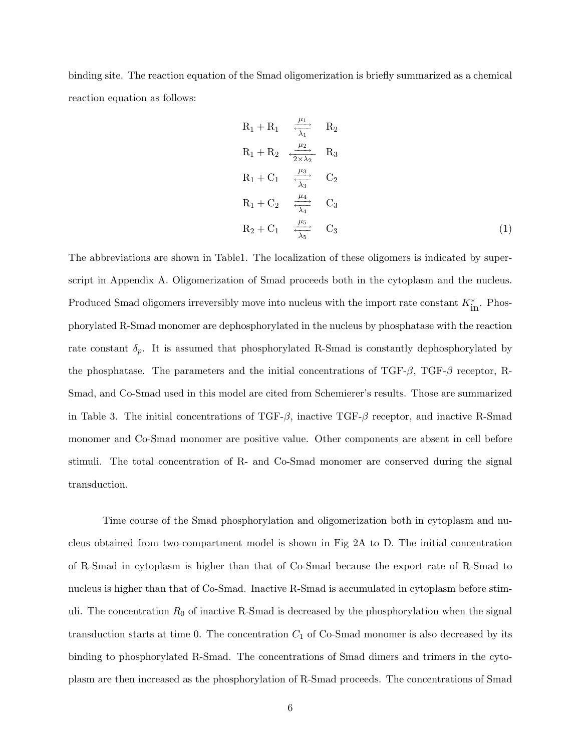binding site. The reaction equation of the Smad oligomerization is briefly summarized as a chemical reaction equation as follows:

$$
R_1 + R_1 \xrightarrow{\mu_1} R_2
$$
  
\n
$$
R_1 + R_2 \xrightarrow{\mu_2} R_3
$$
  
\n
$$
R_1 + C_1 \xrightarrow{\mu_3} C_2
$$
  
\n
$$
R_1 + C_2 \xrightarrow{\mu_4} C_3
$$
  
\n
$$
R_2 + C_1 \xrightarrow{\mu_5} C_3
$$
  
\n(1)

The abbreviations are shown in Table1. The localization of these oligomers is indicated by superscript in Appendix A. Oligomerization of Smad proceeds both in the cytoplasm and the nucleus. Produced Smad oligomers irreversibly move into nucleus with the import rate constant  $K_{\text{in}}^*$ . Phosphorylated R-Smad monomer are dephosphorylated in the nucleus by phosphatase with the reaction rate constant  $\delta_p$ . It is assumed that phosphorylated R-Smad is constantly dephosphorylated by the phosphatase. The parameters and the initial concentrations of  $TGF-\beta$ ,  $TGF-\beta$  receptor, R-Smad, and Co-Smad used in this model are cited from Schemierer's results. Those are summarized in Table 3. The initial concentrations of TGF- $\beta$ , inactive TGF- $\beta$  receptor, and inactive R-Smad monomer and Co-Smad monomer are positive value. Other components are absent in cell before stimuli. The total concentration of R- and Co-Smad monomer are conserved during the signal transduction.

Time course of the Smad phosphorylation and oligomerization both in cytoplasm and nucleus obtained from two-compartment model is shown in Fig 2A to D. The initial concentration of R-Smad in cytoplasm is higher than that of Co-Smad because the export rate of R-Smad to nucleus is higher than that of Co-Smad. Inactive R-Smad is accumulated in cytoplasm before stimuli. The concentration  $R_0$  of inactive R-Smad is decreased by the phosphorylation when the signal transduction starts at time 0. The concentration  $C_1$  of Co-Smad monomer is also decreased by its binding to phosphorylated R-Smad. The concentrations of Smad dimers and trimers in the cytoplasm are then increased as the phosphorylation of R-Smad proceeds. The concentrations of Smad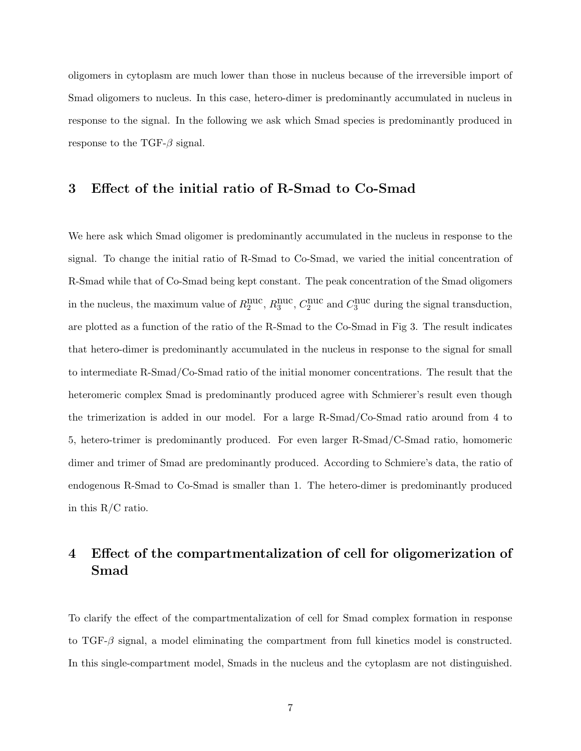oligomers in cytoplasm are much lower than those in nucleus because of the irreversible import of Smad oligomers to nucleus. In this case, hetero-dimer is predominantly accumulated in nucleus in response to the signal. In the following we ask which Smad species is predominantly produced in response to the TGF- $\beta$  signal.

## 3 Effect of the initial ratio of R-Smad to Co-Smad

We here ask which Smad oligomer is predominantly accumulated in the nucleus in response to the signal. To change the initial ratio of R-Smad to Co-Smad, we varied the initial concentration of R-Smad while that of Co-Smad being kept constant. The peak concentration of the Smad oligomers in the nucleus, the maximum value of  $R_2^{\text{nuc}}, R_3^{\text{nuc}}, C_2^{\text{nuc}}$  and  $C_3^{\text{nuc}}$  during the signal transduction, are plotted as a function of the ratio of the R-Smad to the Co-Smad in Fig 3. The result indicates that hetero-dimer is predominantly accumulated in the nucleus in response to the signal for small to intermediate R-Smad/Co-Smad ratio of the initial monomer concentrations. The result that the heteromeric complex Smad is predominantly produced agree with Schmierer's result even though the trimerization is added in our model. For a large R-Smad/Co-Smad ratio around from 4 to 5, hetero-trimer is predominantly produced. For even larger R-Smad/C-Smad ratio, homomeric dimer and trimer of Smad are predominantly produced. According to Schmiere's data, the ratio of endogenous R-Smad to Co-Smad is smaller than 1. The hetero-dimer is predominantly produced in this R/C ratio.

## 4 Effect of the compartmentalization of cell for oligomerization of Smad

To clarify the effect of the compartmentalization of cell for Smad complex formation in response to TGF- $\beta$  signal, a model eliminating the compartment from full kinetics model is constructed. In this single-compartment model, Smads in the nucleus and the cytoplasm are not distinguished.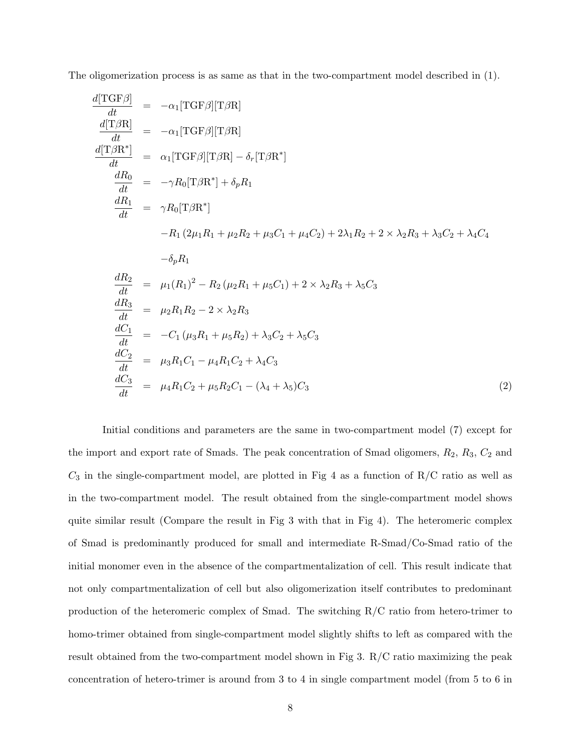The oligomerization process is as same as that in the two-compartment model described in (1).

$$
\frac{d[\text{TGF}\beta]}{dt} = -\alpha_1[\text{TGF}\beta][\text{T}\beta\text{R}] \n\frac{d[\text{T}\beta\text{R}]}{dt} = -\alpha_1[\text{TGF}\beta][\text{T}\beta\text{R}] \n\frac{d[\text{T}\beta\text{R}^*]}{dt} = \alpha_1[\text{TGF}\beta][\text{T}\beta\text{R}] - \delta_r[\text{T}\beta\text{R}^*] \n\frac{dR_0}{dt} = -\gamma R_0[\text{T}\beta\text{R}^*] + \delta_p R_1 \n\frac{dR_1}{dt} = \gamma R_0[\text{T}\beta\text{R}^*] \n- R_1 (2\mu_1 R_1 + \mu_2 R_2 + \mu_3 C_1 + \mu_4 C_2) + 2\lambda_1 R_2 + 2 \times \lambda_2 R_3 + \lambda_3 C_2 + \lambda_4 C_4 \n- \delta_p R_1 \n\frac{dR_2}{dt} = \mu_1(R_1)^2 - R_2 (\mu_2 R_1 + \mu_5 C_1) + 2 \times \lambda_2 R_3 + \lambda_5 C_3 \n\frac{dR_3}{dt} = \mu_2 R_1 R_2 - 2 \times \lambda_2 R_3 \n\frac{dC_1}{dt} = -C_1 (\mu_3 R_1 + \mu_5 R_2) + \lambda_3 C_2 + \lambda_5 C_3 \n\frac{dC_2}{dt} = \mu_3 R_1 C_1 - \mu_4 R_1 C_2 + \lambda_4 C_3 \n\frac{dC_3}{dt} = \mu_4 R_1 C_2 + \mu_5 R_2 C_1 - (\lambda_4 + \lambda_5) C_3
$$
\n(2)

Initial conditions and parameters are the same in two-compartment model (7) except for the import and export rate of Smads. The peak concentration of Smad oligomers,  $R_2$ ,  $R_3$ ,  $C_2$  and  $C_3$  in the single-compartment model, are plotted in Fig 4 as a function of R/C ratio as well as in the two-compartment model. The result obtained from the single-compartment model shows quite similar result (Compare the result in Fig 3 with that in Fig 4). The heteromeric complex of Smad is predominantly produced for small and intermediate R-Smad/Co-Smad ratio of the initial monomer even in the absence of the compartmentalization of cell. This result indicate that not only compartmentalization of cell but also oligomerization itself contributes to predominant production of the heteromeric complex of Smad. The switching  $R/C$  ratio from hetero-trimer to homo-trimer obtained from single-compartment model slightly shifts to left as compared with the result obtained from the two-compartment model shown in Fig 3. R/C ratio maximizing the peak concentration of hetero-trimer is around from 3 to 4 in single compartment model (from 5 to 6 in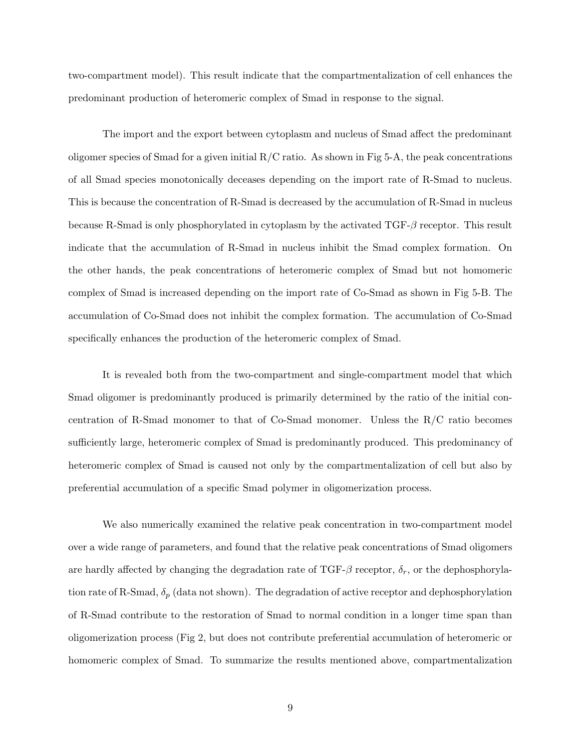two-compartment model). This result indicate that the compartmentalization of cell enhances the predominant production of heteromeric complex of Smad in response to the signal.

The import and the export between cytoplasm and nucleus of Smad affect the predominant oligomer species of Smad for a given initial  $R/C$  ratio. As shown in Fig 5-A, the peak concentrations of all Smad species monotonically deceases depending on the import rate of R-Smad to nucleus. This is because the concentration of R-Smad is decreased by the accumulation of R-Smad in nucleus because R-Smad is only phosphorylated in cytoplasm by the activated  $TGF-\beta$  receptor. This result indicate that the accumulation of R-Smad in nucleus inhibit the Smad complex formation. On the other hands, the peak concentrations of heteromeric complex of Smad but not homomeric complex of Smad is increased depending on the import rate of Co-Smad as shown in Fig 5-B. The accumulation of Co-Smad does not inhibit the complex formation. The accumulation of Co-Smad specifically enhances the production of the heteromeric complex of Smad.

It is revealed both from the two-compartment and single-compartment model that which Smad oligomer is predominantly produced is primarily determined by the ratio of the initial concentration of R-Smad monomer to that of Co-Smad monomer. Unless the R/C ratio becomes sufficiently large, heteromeric complex of Smad is predominantly produced. This predominancy of heteromeric complex of Smad is caused not only by the compartmentalization of cell but also by preferential accumulation of a specific Smad polymer in oligomerization process.

We also numerically examined the relative peak concentration in two-compartment model over a wide range of parameters, and found that the relative peak concentrations of Smad oligomers are hardly affected by changing the degradation rate of TGF- $\beta$  receptor,  $\delta_r$ , or the dephosphorylation rate of R-Smad,  $\delta_p$  (data not shown). The degradation of active receptor and dephosphorylation of R-Smad contribute to the restoration of Smad to normal condition in a longer time span than oligomerization process (Fig 2, but does not contribute preferential accumulation of heteromeric or homomeric complex of Smad. To summarize the results mentioned above, compartmentalization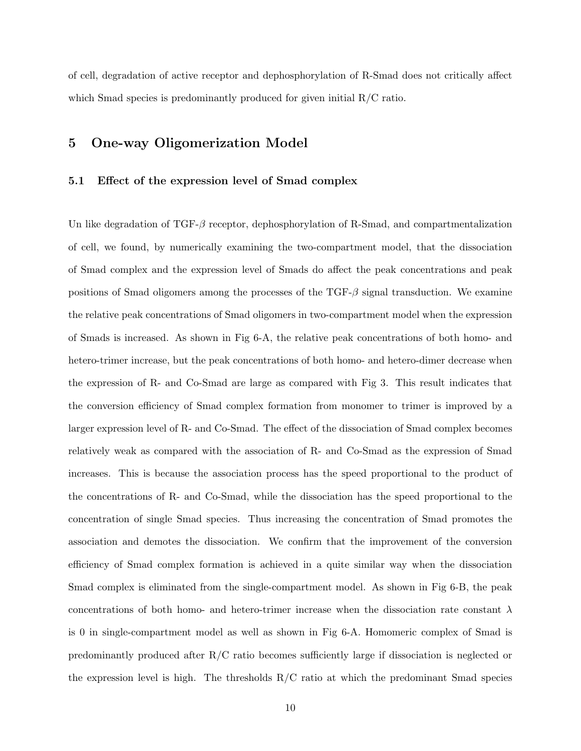of cell, degradation of active receptor and dephosphorylation of R-Smad does not critically affect which Smad species is predominantly produced for given initial R/C ratio.

### 5 One-way Oligomerization Model

#### 5.1 Effect of the expression level of Smad complex

Un like degradation of TGF-β receptor, dephosphorylation of R-Smad, and compartmentalization of cell, we found, by numerically examining the two-compartment model, that the dissociation of Smad complex and the expression level of Smads do affect the peak concentrations and peak positions of Smad oligomers among the processes of the  $TGF-\beta$  signal transduction. We examine the relative peak concentrations of Smad oligomers in two-compartment model when the expression of Smads is increased. As shown in Fig 6-A, the relative peak concentrations of both homo- and hetero-trimer increase, but the peak concentrations of both homo- and hetero-dimer decrease when the expression of R- and Co-Smad are large as compared with Fig 3. This result indicates that the conversion efficiency of Smad complex formation from monomer to trimer is improved by a larger expression level of R- and Co-Smad. The effect of the dissociation of Smad complex becomes relatively weak as compared with the association of R- and Co-Smad as the expression of Smad increases. This is because the association process has the speed proportional to the product of the concentrations of R- and Co-Smad, while the dissociation has the speed proportional to the concentration of single Smad species. Thus increasing the concentration of Smad promotes the association and demotes the dissociation. We confirm that the improvement of the conversion efficiency of Smad complex formation is achieved in a quite similar way when the dissociation Smad complex is eliminated from the single-compartment model. As shown in Fig 6-B, the peak concentrations of both homo- and hetero-trimer increase when the dissociation rate constant  $\lambda$ is 0 in single-compartment model as well as shown in Fig 6-A. Homomeric complex of Smad is predominantly produced after R/C ratio becomes sufficiently large if dissociation is neglected or the expression level is high. The thresholds  $R/C$  ratio at which the predominant Smad species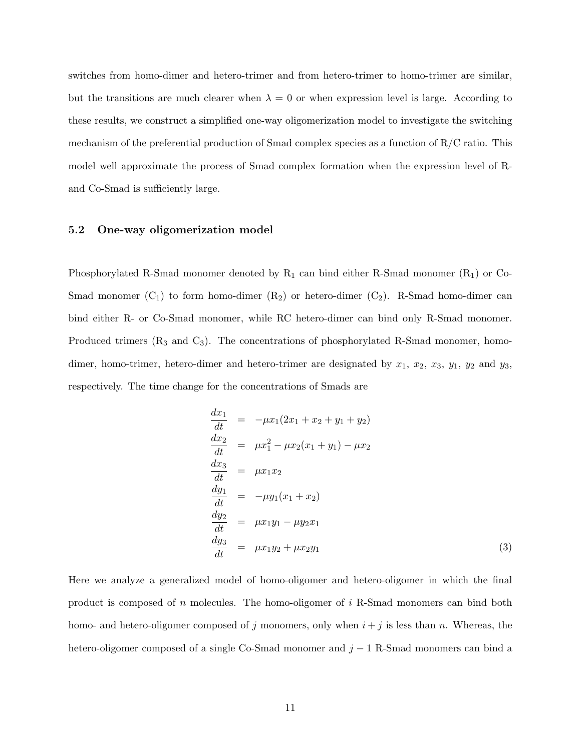switches from homo-dimer and hetero-trimer and from hetero-trimer to homo-trimer are similar, but the transitions are much clearer when  $\lambda = 0$  or when expression level is large. According to these results, we construct a simplified one-way oligomerization model to investigate the switching mechanism of the preferential production of Smad complex species as a function of  $R/C$  ratio. This model well approximate the process of Smad complex formation when the expression level of Rand Co-Smad is sufficiently large.

#### 5.2 One-way oligomerization model

Phosphorylated R-Smad monomer denoted by  $R_1$  can bind either R-Smad monomer  $(R_1)$  or Co-Smad monomer  $(C_1)$  to form homo-dimer  $(R_2)$  or hetero-dimer  $(C_2)$ . R-Smad homo-dimer can bind either R- or Co-Smad monomer, while RC hetero-dimer can bind only R-Smad monomer. Produced trimers  $(R_3 \text{ and } C_3)$ . The concentrations of phosphorylated R-Smad monomer, homodimer, homo-trimer, hetero-dimer and hetero-trimer are designated by  $x_1$ ,  $x_2$ ,  $x_3$ ,  $y_1$ ,  $y_2$  and  $y_3$ , respectively. The time change for the concentrations of Smads are

$$
\frac{dx_1}{dt} = -\mu x_1 (2x_1 + x_2 + y_1 + y_2) \n\frac{dx_2}{dt} = \mu x_1^2 - \mu x_2 (x_1 + y_1) - \mu x_2 \n\frac{dx_3}{dt} = \mu x_1 x_2 \n\frac{dy_1}{dt} = -\mu y_1 (x_1 + x_2) \n\frac{dy_2}{dt} = \mu x_1 y_1 - \mu y_2 x_1 \n\frac{dy_3}{dt} = \mu x_1 y_2 + \mu x_2 y_1
$$
\n(3)

Here we analyze a generalized model of homo-oligomer and hetero-oligomer in which the final product is composed of n molecules. The homo-oligomer of i R-Smad monomers can bind both homo- and hetero-oligomer composed of j monomers, only when  $i + j$  is less than n. Whereas, the hetero-oligomer composed of a single Co-Smad monomer and  $j-1$  R-Smad monomers can bind a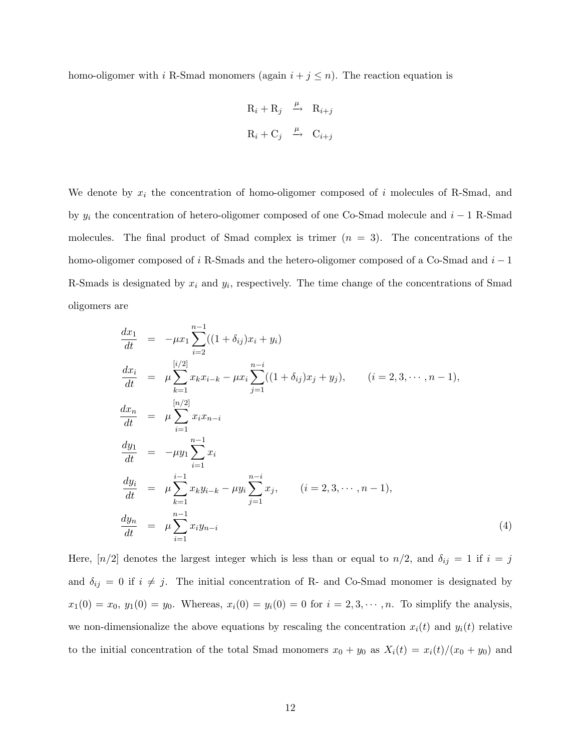homo-oligomer with i R-Smad monomers (again  $i + j \leq n$ ). The reaction equation is

$$
R_i + R_j \xrightarrow{\mu} R_{i+j}
$$
  

$$
R_i + C_j \xrightarrow{\mu} C_{i+j}
$$

We denote by  $x_i$  the concentration of homo-oligomer composed of i molecules of R-Smad, and by  $y_i$  the concentration of hetero-oligomer composed of one Co-Smad molecule and  $i - 1$  R-Smad molecules. The final product of Smad complex is trimer  $(n = 3)$ . The concentrations of the homo-oligomer composed of i R-Smads and the hetero-oligomer composed of a Co-Smad and  $i - 1$ R-Smads is designated by  $x_i$  and  $y_i$ , respectively. The time change of the concentrations of Smad oligomers are

$$
\frac{dx_1}{dt} = -\mu x_1 \sum_{i=2}^{n-1} ((1 + \delta_{ij})x_i + y_i)
$$
\n
$$
\frac{dx_i}{dt} = \mu \sum_{k=1}^{[i/2]} x_k x_{i-k} - \mu x_i \sum_{j=1}^{n-i} ((1 + \delta_{ij})x_j + y_j), \qquad (i = 2, 3, \dots, n-1),
$$
\n
$$
\frac{dx_n}{dt} = \mu \sum_{i=1}^{[n/2]} x_i x_{n-i}
$$
\n
$$
\frac{dy_1}{dt} = -\mu y_1 \sum_{i=1}^{n-1} x_i
$$
\n
$$
\frac{dy_i}{dt} = \mu \sum_{k=1}^{i-1} x_k y_{i-k} - \mu y_i \sum_{j=1}^{n-i} x_j, \qquad (i = 2, 3, \dots, n-1),
$$
\n
$$
\frac{dy_n}{dt} = \mu \sum_{i=1}^{n-1} x_i y_{n-i}
$$
\n(4)

Here,  $[n/2]$  denotes the largest integer which is less than or equal to  $n/2$ , and  $\delta_{ij} = 1$  if  $i = j$ and  $\delta_{ij} = 0$  if  $i \neq j$ . The initial concentration of R- and Co-Smad monomer is designated by  $x_1(0) = x_0, y_1(0) = y_0$ . Whereas,  $x_i(0) = y_i(0) = 0$  for  $i = 2, 3, \dots, n$ . To simplify the analysis, we non-dimensionalize the above equations by rescaling the concentration  $x_i(t)$  and  $y_i(t)$  relative to the initial concentration of the total Smad monomers  $x_0 + y_0$  as  $X_i(t) = x_i(t)/(x_0 + y_0)$  and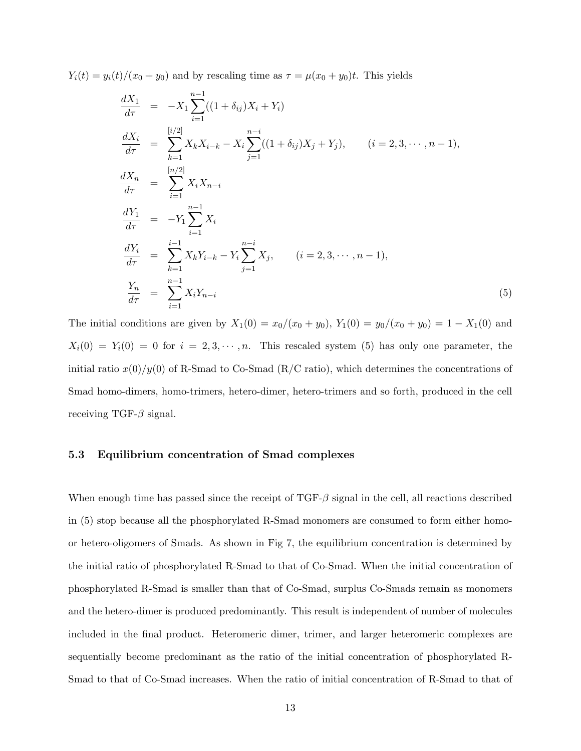$Y_i(t) = y_i(t)/(x_0 + y_0)$  and by rescaling time as  $\tau = \mu(x_0 + y_0)t$ . This yields

$$
\frac{dX_1}{d\tau} = -X_1 \sum_{i=1}^{n-1} ((1 + \delta_{ij})X_i + Y_i)
$$
\n
$$
\frac{dX_i}{d\tau} = \sum_{k=1}^{[i/2]} X_k X_{i-k} - X_i \sum_{j=1}^{n-i} ((1 + \delta_{ij})X_j + Y_j), \qquad (i = 2, 3, \dots, n-1),
$$
\n
$$
\frac{dX_n}{d\tau} = \sum_{i=1}^{[n/2]} X_i X_{n-i}
$$
\n
$$
\frac{dY_1}{d\tau} = -Y_1 \sum_{i=1}^{n-1} X_i
$$
\n
$$
\frac{dY_i}{d\tau} = \sum_{k=1}^{i-1} X_k Y_{i-k} - Y_i \sum_{j=1}^{n-i} X_j, \qquad (i = 2, 3, \dots, n-1),
$$
\n
$$
\frac{Y_n}{d\tau} = \sum_{i=1}^{n-1} X_i Y_{n-i}
$$
\n(5)

The initial conditions are given by  $X_1(0) = x_0/(x_0 + y_0)$ ,  $Y_1(0) = y_0/(x_0 + y_0) = 1 - X_1(0)$  and  $X_i(0) = Y_i(0) = 0$  for  $i = 2, 3, \dots, n$ . This rescaled system (5) has only one parameter, the initial ratio  $x(0)/y(0)$  of R-Smad to Co-Smad (R/C ratio), which determines the concentrations of Smad homo-dimers, homo-trimers, hetero-dimer, hetero-trimers and so forth, produced in the cell receiving TGF- $\beta$  signal.

#### 5.3 Equilibrium concentration of Smad complexes

When enough time has passed since the receipt of  $TGF-\beta$  signal in the cell, all reactions described in (5) stop because all the phosphorylated R-Smad monomers are consumed to form either homoor hetero-oligomers of Smads. As shown in Fig 7, the equilibrium concentration is determined by the initial ratio of phosphorylated R-Smad to that of Co-Smad. When the initial concentration of phosphorylated R-Smad is smaller than that of Co-Smad, surplus Co-Smads remain as monomers and the hetero-dimer is produced predominantly. This result is independent of number of molecules included in the final product. Heteromeric dimer, trimer, and larger heteromeric complexes are sequentially become predominant as the ratio of the initial concentration of phosphorylated R-Smad to that of Co-Smad increases. When the ratio of initial concentration of R-Smad to that of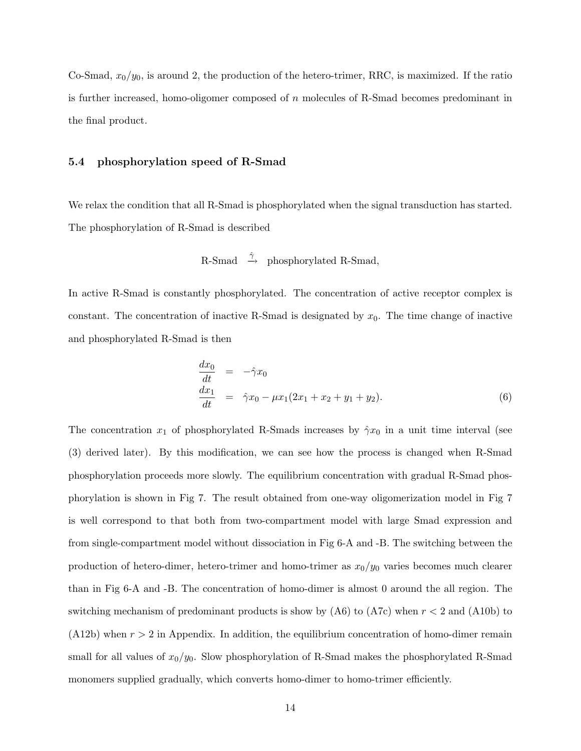Co-Smad,  $x_0/y_0$ , is around 2, the production of the hetero-trimer, RRC, is maximized. If the ratio is further increased, homo-oligomer composed of  $n$  molecules of R-Smad becomes predominant in the final product.

#### 5.4 phosphorylation speed of R-Smad

We relax the condition that all R-Smad is phosphorylated when the signal transduction has started. The phosphorylation of R-Smad is described

R-Smad 
$$
\xrightarrow{\hat{\gamma}}
$$
 phosphorylated R-Smad,

In active R-Smad is constantly phosphorylated. The concentration of active receptor complex is constant. The concentration of inactive R-Smad is designated by  $x_0$ . The time change of inactive and phosphorylated R-Smad is then

$$
\begin{array}{rcl}\n\frac{dx_0}{dt} & = & -\hat{\gamma}x_0\\
\frac{dx_1}{dt} & = & \hat{\gamma}x_0 - \mu x_1(2x_1 + x_2 + y_1 + y_2).\n\end{array} \tag{6}
$$

The concentration  $x_1$  of phosphorylated R-Smads increases by  $\hat{\gamma}x_0$  in a unit time interval (see (3) derived later). By this modification, we can see how the process is changed when R-Smad phosphorylation proceeds more slowly. The equilibrium concentration with gradual R-Smad phosphorylation is shown in Fig 7. The result obtained from one-way oligomerization model in Fig 7 is well correspond to that both from two-compartment model with large Smad expression and from single-compartment model without dissociation in Fig 6-A and -B. The switching between the production of hetero-dimer, hetero-trimer and homo-trimer as  $x_0/y_0$  varies becomes much clearer than in Fig 6-A and -B. The concentration of homo-dimer is almost 0 around the all region. The switching mechanism of predominant products is show by  $(AG)$  to  $(ATc)$  when  $r < 2$  and  $(A10b)$  to  $(A12b)$  when  $r > 2$  in Appendix. In addition, the equilibrium concentration of homo-dimer remain small for all values of  $x_0/y_0$ . Slow phosphorylation of R-Smad makes the phosphorylated R-Smad monomers supplied gradually, which converts homo-dimer to homo-trimer efficiently.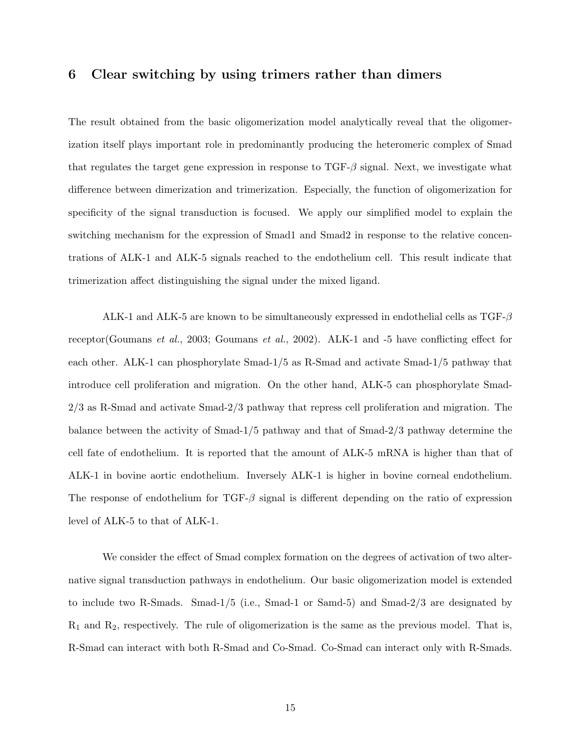### 6 Clear switching by using trimers rather than dimers

The result obtained from the basic oligomerization model analytically reveal that the oligomerization itself plays important role in predominantly producing the heteromeric complex of Smad that regulates the target gene expression in response to  $TGF-\beta$  signal. Next, we investigate what difference between dimerization and trimerization. Especially, the function of oligomerization for specificity of the signal transduction is focused. We apply our simplified model to explain the switching mechanism for the expression of Smad1 and Smad2 in response to the relative concentrations of ALK-1 and ALK-5 signals reached to the endothelium cell. This result indicate that trimerization affect distinguishing the signal under the mixed ligand.

ALK-1 and ALK-5 are known to be simultaneously expressed in endothelial cells as  $TGF-\beta$ receptor(Goumans et al., 2003; Goumans et al., 2002). ALK-1 and -5 have conflicting effect for each other. ALK-1 can phosphorylate Smad-1/5 as R-Smad and activate Smad-1/5 pathway that introduce cell proliferation and migration. On the other hand, ALK-5 can phosphorylate Smad-2/3 as R-Smad and activate Smad-2/3 pathway that repress cell proliferation and migration. The balance between the activity of Smad-1/5 pathway and that of Smad-2/3 pathway determine the cell fate of endothelium. It is reported that the amount of ALK-5 mRNA is higher than that of ALK-1 in bovine aortic endothelium. Inversely ALK-1 is higher in bovine corneal endothelium. The response of endothelium for  $TGF-\beta$  signal is different depending on the ratio of expression level of ALK-5 to that of ALK-1.

We consider the effect of Smad complex formation on the degrees of activation of two alternative signal transduction pathways in endothelium. Our basic oligomerization model is extended to include two R-Smads. Smad-1/5 (i.e., Smad-1 or Samd-5) and Smad-2/3 are designated by  $R_1$  and  $R_2$ , respectively. The rule of oligomerization is the same as the previous model. That is, R-Smad can interact with both R-Smad and Co-Smad. Co-Smad can interact only with R-Smads.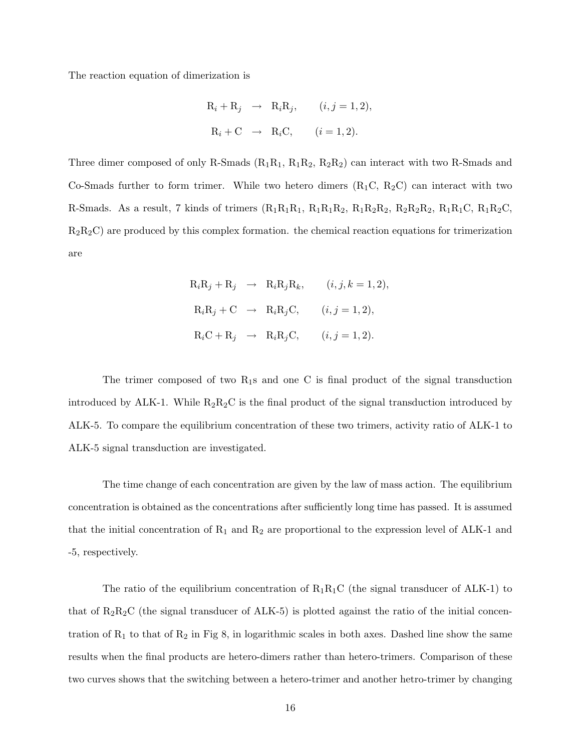The reaction equation of dimerization is

$$
R_i + R_j \rightarrow R_i R_j, \qquad (i, j = 1, 2),
$$
  

$$
R_i + C \rightarrow R_i C, \qquad (i = 1, 2).
$$

Three dimer composed of only R-Smads  $(R_1R_1, R_1R_2, R_2R_2)$  can interact with two R-Smads and Co-Smads further to form trimer. While two hetero dimers  $(R_1C, R_2C)$  can interact with two R-Smads. As a result, 7 kinds of trimers  $(R_1R_1R_1, R_1R_1R_2, R_1R_2R_2, R_2R_2R_2, R_1R_1C, R_1R_2C,$  $R_2R_2C$ ) are produced by this complex formation. the chemical reaction equations for trimerization are

> $R_iR_j + R_j \rightarrow R_iR_jR_k, \quad (i, j, k = 1, 2),$  $R_iR_j + C \rightarrow R_iR_jC, \quad (i, j = 1, 2),$  $R_iC + R_j \rightarrow R_iR_iC, \quad (i, j = 1, 2).$

The trimer composed of two  $R_1s$  and one C is final product of the signal transduction introduced by ALK-1. While  $R_2R_2C$  is the final product of the signal transduction introduced by ALK-5. To compare the equilibrium concentration of these two trimers, activity ratio of ALK-1 to ALK-5 signal transduction are investigated.

The time change of each concentration are given by the law of mass action. The equilibrium concentration is obtained as the concentrations after sufficiently long time has passed. It is assumed that the initial concentration of  $R_1$  and  $R_2$  are proportional to the expression level of ALK-1 and -5, respectively.

The ratio of the equilibrium concentration of  $R_1R_1C$  (the signal transducer of ALK-1) to that of  $R_2R_2C$  (the signal transducer of ALK-5) is plotted against the ratio of the initial concentration of  $R_1$  to that of  $R_2$  in Fig 8, in logarithmic scales in both axes. Dashed line show the same results when the final products are hetero-dimers rather than hetero-trimers. Comparison of these two curves shows that the switching between a hetero-trimer and another hetro-trimer by changing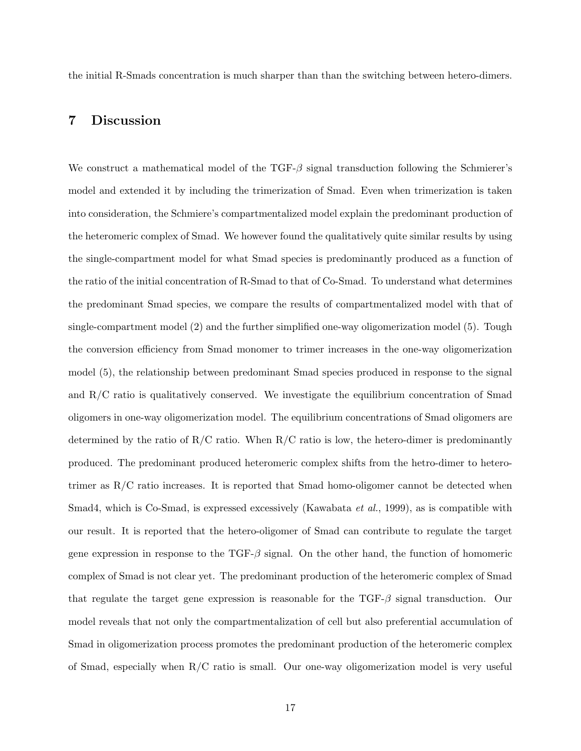the initial R-Smads concentration is much sharper than than the switching between hetero-dimers.

## 7 Discussion

We construct a mathematical model of the  $TGF-\beta$  signal transduction following the Schmierer's model and extended it by including the trimerization of Smad. Even when trimerization is taken into consideration, the Schmiere's compartmentalized model explain the predominant production of the heteromeric complex of Smad. We however found the qualitatively quite similar results by using the single-compartment model for what Smad species is predominantly produced as a function of the ratio of the initial concentration of R-Smad to that of Co-Smad. To understand what determines the predominant Smad species, we compare the results of compartmentalized model with that of single-compartment model (2) and the further simplified one-way oligomerization model (5). Tough the conversion efficiency from Smad monomer to trimer increases in the one-way oligomerization model (5), the relationship between predominant Smad species produced in response to the signal and  $R/C$  ratio is qualitatively conserved. We investigate the equilibrium concentration of Smad oligomers in one-way oligomerization model. The equilibrium concentrations of Smad oligomers are determined by the ratio of  $R/C$  ratio. When  $R/C$  ratio is low, the hetero-dimer is predominantly produced. The predominant produced heteromeric complex shifts from the hetro-dimer to heterotrimer as  $R/C$  ratio increases. It is reported that Smad homo-oligomer cannot be detected when Smad4, which is Co-Smad, is expressed excessively (Kawabata *et al.*, 1999), as is compatible with our result. It is reported that the hetero-oligomer of Smad can contribute to regulate the target gene expression in response to the  $TGF-\beta$  signal. On the other hand, the function of homomeric complex of Smad is not clear yet. The predominant production of the heteromeric complex of Smad that regulate the target gene expression is reasonable for the  $TGF-\beta$  signal transduction. Our model reveals that not only the compartmentalization of cell but also preferential accumulation of Smad in oligomerization process promotes the predominant production of the heteromeric complex of Smad, especially when R/C ratio is small. Our one-way oligomerization model is very useful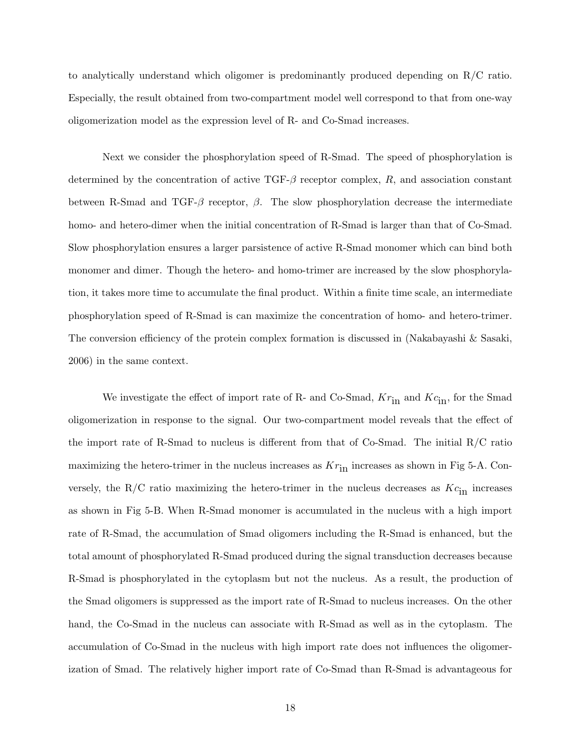to analytically understand which oligomer is predominantly produced depending on R/C ratio. Especially, the result obtained from two-compartment model well correspond to that from one-way oligomerization model as the expression level of R- and Co-Smad increases.

Next we consider the phosphorylation speed of R-Smad. The speed of phosphorylation is determined by the concentration of active  $TGF-\beta$  receptor complex, R, and association constant between R-Smad and TGF- $\beta$  receptor,  $\beta$ . The slow phosphorylation decrease the intermediate homo- and hetero-dimer when the initial concentration of R-Smad is larger than that of Co-Smad. Slow phosphorylation ensures a larger parsistence of active R-Smad monomer which can bind both monomer and dimer. Though the hetero- and homo-trimer are increased by the slow phosphorylation, it takes more time to accumulate the final product. Within a finite time scale, an intermediate phosphorylation speed of R-Smad is can maximize the concentration of homo- and hetero-trimer. The conversion efficiency of the protein complex formation is discussed in (Nakabayashi & Sasaki, 2006) in the same context.

We investigate the effect of import rate of R- and Co-Smad,  $Kr_{\text{in}}$  and  $Kc_{\text{in}}$ , for the Smad oligomerization in response to the signal. Our two-compartment model reveals that the effect of the import rate of R-Smad to nucleus is different from that of Co-Smad. The initial R/C ratio maximizing the hetero-trimer in the nucleus increases as  $Kr_{\text{in}}$  increases as shown in Fig 5-A. Conversely, the R/C ratio maximizing the hetero-trimer in the nucleus decreases as  $Kc_{\text{in}}$  increases as shown in Fig 5-B. When R-Smad monomer is accumulated in the nucleus with a high import rate of R-Smad, the accumulation of Smad oligomers including the R-Smad is enhanced, but the total amount of phosphorylated R-Smad produced during the signal transduction decreases because R-Smad is phosphorylated in the cytoplasm but not the nucleus. As a result, the production of the Smad oligomers is suppressed as the import rate of R-Smad to nucleus increases. On the other hand, the Co-Smad in the nucleus can associate with R-Smad as well as in the cytoplasm. The accumulation of Co-Smad in the nucleus with high import rate does not influences the oligomerization of Smad. The relatively higher import rate of Co-Smad than R-Smad is advantageous for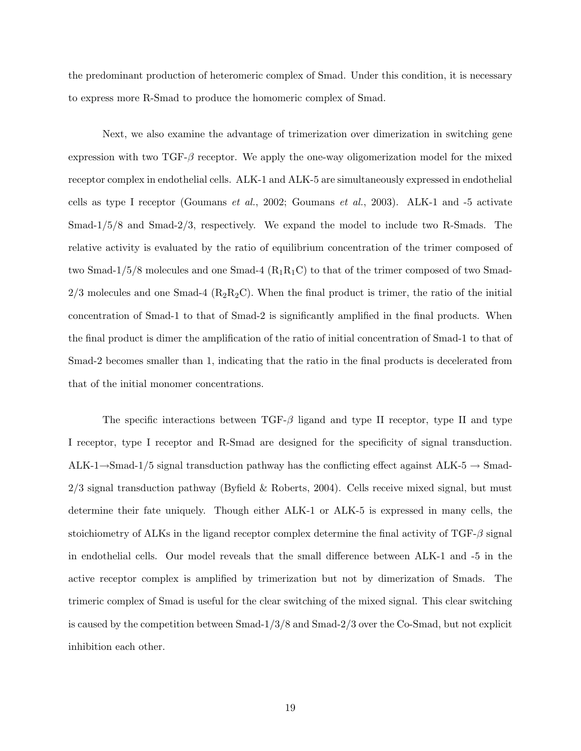the predominant production of heteromeric complex of Smad. Under this condition, it is necessary to express more R-Smad to produce the homomeric complex of Smad.

Next, we also examine the advantage of trimerization over dimerization in switching gene expression with two  $TGF-\beta$  receptor. We apply the one-way oligomerization model for the mixed receptor complex in endothelial cells. ALK-1 and ALK-5 are simultaneously expressed in endothelial cells as type I receptor (Goumans et al., 2002; Goumans et al., 2003). ALK-1 and -5 activate Smad-1/5/8 and Smad-2/3, respectively. We expand the model to include two R-Smads. The relative activity is evaluated by the ratio of equilibrium concentration of the trimer composed of two Smad-1/5/8 molecules and one Smad-4  $(R_1R_1C)$  to that of the trimer composed of two Smad- $2/3$  molecules and one Smad-4 ( $R_2R_2C$ ). When the final product is trimer, the ratio of the initial concentration of Smad-1 to that of Smad-2 is significantly amplified in the final products. When the final product is dimer the amplification of the ratio of initial concentration of Smad-1 to that of Smad-2 becomes smaller than 1, indicating that the ratio in the final products is decelerated from that of the initial monomer concentrations.

The specific interactions between  $TGF-\beta$  ligand and type II receptor, type II and type I receptor, type I receptor and R-Smad are designed for the specificity of signal transduction. ALK-1→Smad-1/5 signal transduction pathway has the conflicting effect against ALK-5  $\rightarrow$  Smad- $2/3$  signal transduction pathway (Byfield & Roberts, 2004). Cells receive mixed signal, but must determine their fate uniquely. Though either ALK-1 or ALK-5 is expressed in many cells, the stoichiometry of ALKs in the ligand receptor complex determine the final activity of  $TGF-\beta$  signal in endothelial cells. Our model reveals that the small difference between ALK-1 and -5 in the active receptor complex is amplified by trimerization but not by dimerization of Smads. The trimeric complex of Smad is useful for the clear switching of the mixed signal. This clear switching is caused by the competition between Smad-1/3/8 and Smad-2/3 over the Co-Smad, but not explicit inhibition each other.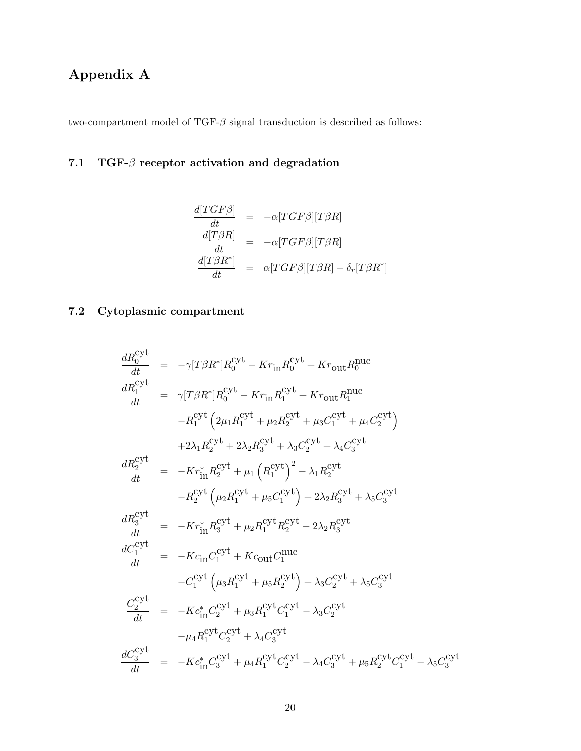# Appendix A

two-compartment model of TGF- $\beta$  signal transduction is described as follows:

## 7.1 TGF- $\beta$  receptor activation and degradation

$$
\begin{aligned}\n\frac{d[TGF\beta]}{dt} &= -\alpha[TGF\beta][T\beta R] \\
\frac{d[T\beta R]}{dt} &= -\alpha[TGF\beta][T\beta R] \\
\frac{d[T\beta R^*]}{dt} &= \alpha[TGF\beta][T\beta R] - \delta_r[T\beta R^*]\n\end{aligned}
$$

## 7.2 Cytoplasmic compartment

$$
\frac{dR_0^{\text{cyt}}}{dt} = -\gamma [T\beta R^*] R_0^{\text{cyt}} - K r_{\text{in}} R_0^{\text{cyt}} + K r_{\text{out}} R_0^{\text{nuc}} \n\frac{dR_1^{\text{cyt}}}{dt} = \gamma [T\beta R^*] R_0^{\text{cyt}} - K r_{\text{in}} R_1^{\text{cyt}} + K r_{\text{out}} R_1^{\text{nuc}} \n-R_1^{\text{cyt}} (2\mu_1 R_1^{\text{cyt}} + \mu_2 R_2^{\text{cyt}} + \mu_3 C_1^{\text{cyt}} + \mu_4 C_2^{\text{cyt}}) \n+2\lambda_1 R_2^{\text{cyt}} + 2\lambda_2 R_3^{\text{cyt}} + \lambda_3 C_2^{\text{cyt}} + \lambda_4 C_3^{\text{cyt}} \n\frac{dR_2^{\text{cyt}}}{dt} = -Kr_{\text{in}}^* R_2^{\text{cyt}} + \mu_1 (R_1^{\text{cyt}})^2 - \lambda_1 R_2^{\text{cyt}} \n-R_2^{\text{cyt}} (\mu_2 R_1^{\text{cyt}} + \mu_5 C_1^{\text{cyt}}) + 2\lambda_2 R_3^{\text{cyt}} + \lambda_5 C_3^{\text{cyt}} \n\frac{dR_3^{\text{cyt}}}{dt} = -Kr_{\text{in}}^* R_3^{\text{cyt}} + \mu_2 R_1^{\text{cyt}} R_2^{\text{cyt}} - 2\lambda_2 R_3^{\text{cyt}} \n\frac{dC_1^{\text{cyt}}}{dt} = -K c_{\text{in}} C_1^{\text{cyt}} + K c_{\text{out}} C_1^{\text{nuc}} \n-C_1^{\text{cyt}} (\mu_3 R_1^{\text{cyt}} + \mu_5 R_2^{\text{cyt}}) + \lambda_3 C_2^{\text{cyt}} + \lambda_5 C_3^{\text{cyt}} \n\frac{C_2^{\text{cyt}}}{dt} = -K c_{\text{in}}^* C_2^{\text{cyt}} + \mu_3 R_1^{\text{cyt}} C_1^{\text{cyt}} - \lambda_3 C_2^{\text{cyt}} \n-\mu_4 R_1
$$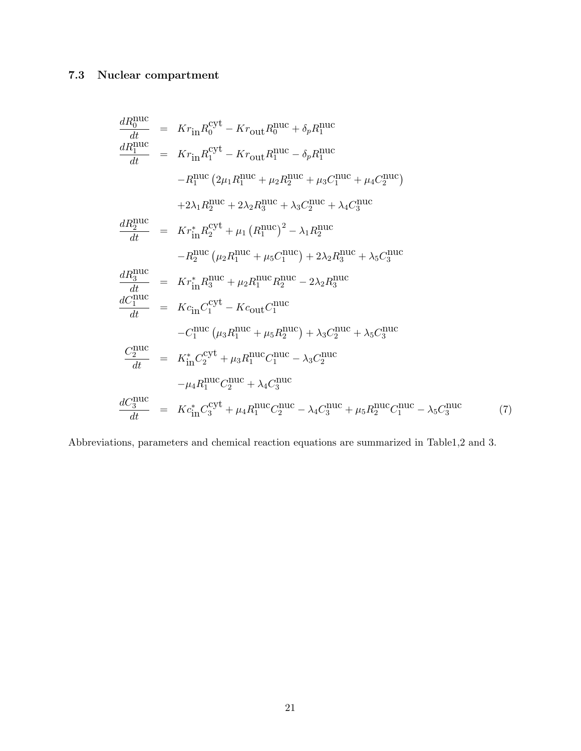## 7.3 Nuclear compartment

$$
\frac{dR_0^{\text{nuc}}}{dt} = Kr_{\text{in}}R_0^{\text{cyt}} - Kr_{\text{out}}R_0^{\text{nuc}} + \delta_p R_1^{\text{nuc}}
$$
\n
$$
\frac{dR_1^{\text{nuc}}}{dt} = Kr_{\text{in}}R_1^{\text{cyt}} - Kr_{\text{out}}R_1^{\text{nuc}} - \delta_p R_1^{\text{nuc}}
$$
\n
$$
-R_1^{\text{nuc}} (2\mu_1 R_1^{\text{nuc}} + \mu_2 R_2^{\text{nuc}} + \mu_3 C_1^{\text{nuc}} + \mu_4 C_2^{\text{nuc}})
$$
\n
$$
+2\lambda_1 R_2^{\text{nuc}} + 2\lambda_2 R_3^{\text{nuc}} + \lambda_3 C_2^{\text{nuc}} + \lambda_4 C_3^{\text{nuc}}
$$
\n
$$
\frac{dR_2^{\text{nuc}}}{dt} = Kr_{\text{in}}^* R_2^{\text{cyt}} + \mu_1 (R_1^{\text{nuc}})^2 - \lambda_1 R_2^{\text{nuc}}
$$
\n
$$
-R_2^{\text{nuc}} (\mu_2 R_1^{\text{nuc}} + \mu_5 C_1^{\text{nuc}}) + 2\lambda_2 R_3^{\text{nuc}} + \lambda_5 C_3^{\text{nuc}}
$$
\n
$$
\frac{dR_3^{\text{nuc}}}{dt} = Kr_{\text{in}}^* R_3^{\text{nuc}} + \mu_2 R_1^{\text{nuc}} R_2^{\text{nuc}} - 2\lambda_2 R_3^{\text{nuc}}
$$
\n
$$
\frac{dC_1^{\text{nuc}}}{dt} = Kc_{\text{in}} C_1^{\text{cyt}} - Kc_{\text{out}} C_1^{\text{nuc}}
$$
\n
$$
-C_1^{\text{nuc}} (\mu_3 R_1^{\text{nuc}} + \mu_5 R_2^{\text{nuc}}) + \lambda_3 C_2^{\text{nuc}} + \lambda_5 C_3^{\text{nuc}}
$$
\n
$$
\frac{C_2^{\text{nuc}}}{dt} = K_{\text{in}}^* C_2^{\text{cyt}} + \mu_3 R_1^{\text{nuc}} C_1^{\text{nuc}} - \lambda_3 C_2^{\text{nuc}}
$$
\n
$$
-
$$

Abbreviations, parameters and chemical reaction equations are summarized in Table1,2 and 3.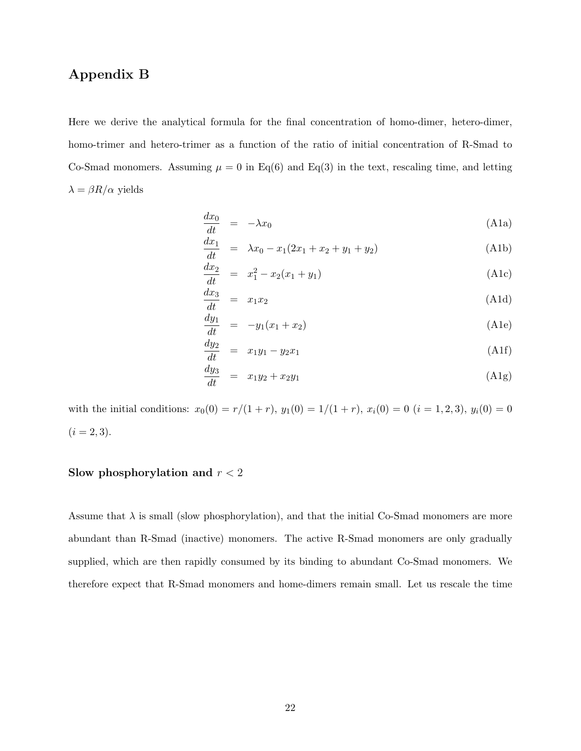## Appendix B

Here we derive the analytical formula for the final concentration of homo-dimer, hetero-dimer, homo-trimer and hetero-trimer as a function of the ratio of initial concentration of R-Smad to Co-Smad monomers. Assuming  $\mu = 0$  in Eq(6) and Eq(3) in the text, rescaling time, and letting  $\lambda = \beta R/\alpha$  yields

$$
\frac{dx_0}{dt} = -\lambda x_0 \tag{A1a}
$$

$$
\frac{dx_1}{dt} = \lambda x_0 - x_1(2x_1 + x_2 + y_1 + y_2)
$$
\n(A1b)

$$
\frac{dx_2}{dt} = x_1^2 - x_2(x_1 + y_1) \tag{A1c}
$$

$$
\frac{dx_3}{dt} = x_1 x_2 \tag{A1d}
$$

$$
\frac{dy_1}{dt} = -y_1(x_1 + x_2) \tag{A1e}
$$

$$
\frac{dy_2}{dt} = x_1 y_1 - y_2 x_1 \tag{A1f}
$$

$$
\frac{dy_3}{dt} = x_1 y_2 + x_2 y_1 \tag{A1g}
$$

with the initial conditions:  $x_0(0) = r/(1+r)$ ,  $y_1(0) = 1/(1+r)$ ,  $x_i(0) = 0$   $(i = 1, 2, 3)$ ,  $y_i(0) = 0$  $(i = 2, 3).$ 

### Slow phosphorylation and  $r<2$

Assume that  $\lambda$  is small (slow phosphorylation), and that the initial Co-Smad monomers are more abundant than R-Smad (inactive) monomers. The active R-Smad monomers are only gradually supplied, which are then rapidly consumed by its binding to abundant Co-Smad monomers. We therefore expect that R-Smad monomers and home-dimers remain small. Let us rescale the time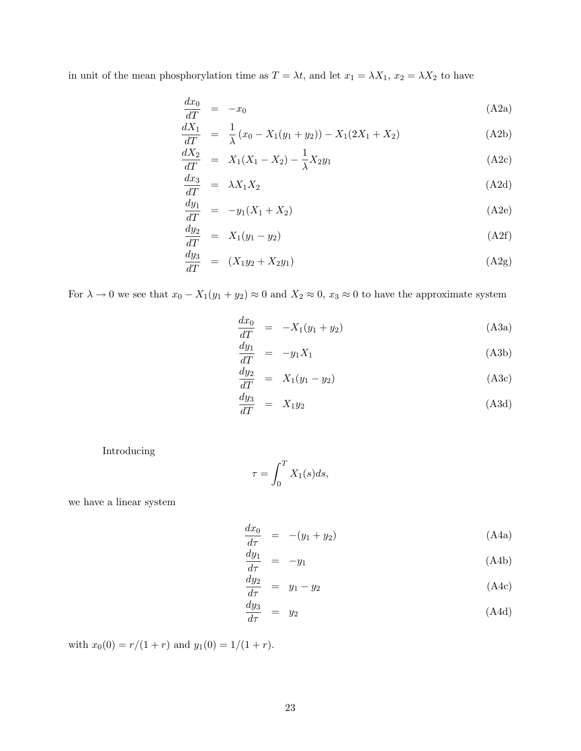in unit of the mean phosphorylation time as  $T = \lambda t$ , and let  $x_1 = \lambda X_1$ ,  $x_2 = \lambda X_2$  to have

$$
\frac{dx_0}{dT} = -x_0 \tag{A2a}
$$

$$
\frac{dX_1}{dT} = \frac{1}{\lambda} (x_0 - X_1(y_1 + y_2)) - X_1(2X_1 + X_2)
$$
\n(A2b)

$$
\frac{dX_2}{dT} = X_1(X_1 - X_2) - \frac{1}{\lambda} X_2 y_1 \tag{A2c}
$$

$$
\frac{dx_3}{dT} = \lambda X_1 X_2 \tag{A2d}
$$

$$
\frac{dy_1}{dT} = -y_1(X_1 + X_2) \tag{A2e}
$$

$$
\frac{dy_2}{dT} = X_1(y_1 - y_2) \tag{A2f}
$$

$$
\frac{dy_3}{dT} = (X_1y_2 + X_2y_1) \tag{A2g}
$$

For  $\lambda \to 0$  we see that  $x_0 - X_1(y_1 + y_2) \approx 0$  and  $X_2 \approx 0$ ,  $x_3 \approx 0$  to have the approximate system

$$
\frac{dx_0}{dT} = -X_1(y_1 + y_2) \tag{A3a}
$$

$$
\frac{dy_1}{dT} = -y_1 X_1 \tag{A3b}
$$

$$
\frac{dy_2}{dT} = X_1(y_1 - y_2) \tag{A3c}
$$

$$
\frac{dy_3}{dT} = X_1 y_2 \tag{A3d}
$$

Introducing

$$
\tau = \int_0^T X_1(s) ds,
$$

we have a linear system

$$
\frac{dx_0}{d\tau} = -(y_1 + y_2) \tag{A4a}
$$

$$
\frac{dy_1}{d\tau} = -y_1 \tag{A4b}
$$

$$
\frac{dy_2}{d\tau} = y_1 - y_2 \tag{A4c}
$$

$$
\frac{dy_3}{d\tau} = y_2 \tag{A4d}
$$

with  $x_0(0) = r/(1+r)$  and  $y_1(0) = 1/(1+r)$ .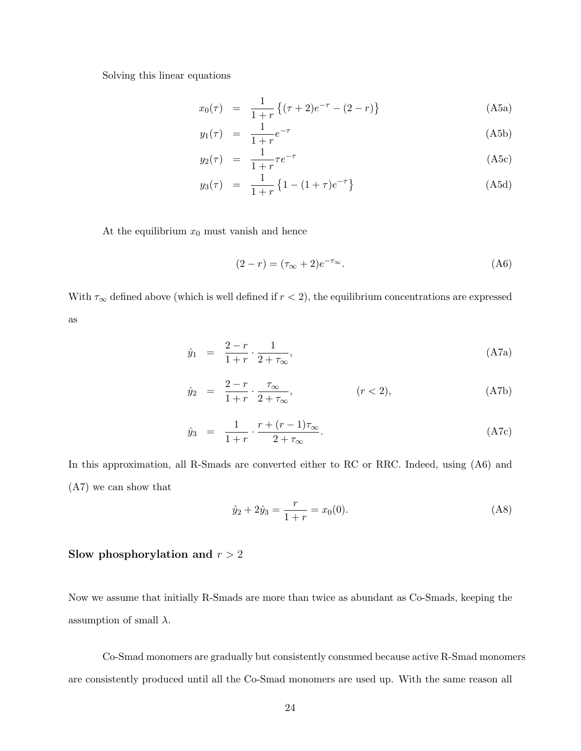Solving this linear equations

$$
x_0(\tau) = \frac{1}{1+r} \{ (\tau+2)e^{-\tau} - (2-r) \}
$$
 (A5a)

$$
y_1(\tau) = \frac{1}{1+r} e^{-\tau} \tag{A5b}
$$

$$
y_2(\tau) = \frac{1}{1+r} \tau e^{-\tau} \tag{A5c}
$$

$$
y_3(\tau) = \frac{1}{1+r} \left\{ 1 - (1+\tau)e^{-\tau} \right\} \tag{A5d}
$$

At the equilibrium  $x_0$  must vanish and hence

$$
(2-r) = (\tau_{\infty} + 2)e^{-\tau_{\infty}}.\tag{A6}
$$

With  $\tau_{\infty}$  defined above (which is well defined if  $r < 2$ ), the equilibrium concentrations are expressed as

$$
\hat{y}_1 = \frac{2-r}{1+r} \cdot \frac{1}{2+\tau_{\infty}},\tag{A7a}
$$

$$
\hat{y}_2 = \frac{2-r}{1+r} \cdot \frac{\tau_{\infty}}{2+\tau_{\infty}}, \qquad (r < 2), \qquad (A7b)
$$

$$
\hat{y}_3 = \frac{1}{1+r} \cdot \frac{r + (r-1)\tau_{\infty}}{2 + \tau_{\infty}}.\tag{A7c}
$$

In this approximation, all R-Smads are converted either to RC or RRC. Indeed, using  $(A6)$  and (A7) we can show that

$$
\hat{y}_2 + 2\hat{y}_3 = \frac{r}{1+r} = x_0(0). \tag{A8}
$$

### Slow phosphorylation and  $r > 2$

Now we assume that initially R-Smads are more than twice as abundant as Co-Smads, keeping the assumption of small  $\lambda$ .

Co-Smad monomers are gradually but consistently consumed because active R-Smad monomers are consistently produced until all the Co-Smad monomers are used up. With the same reason all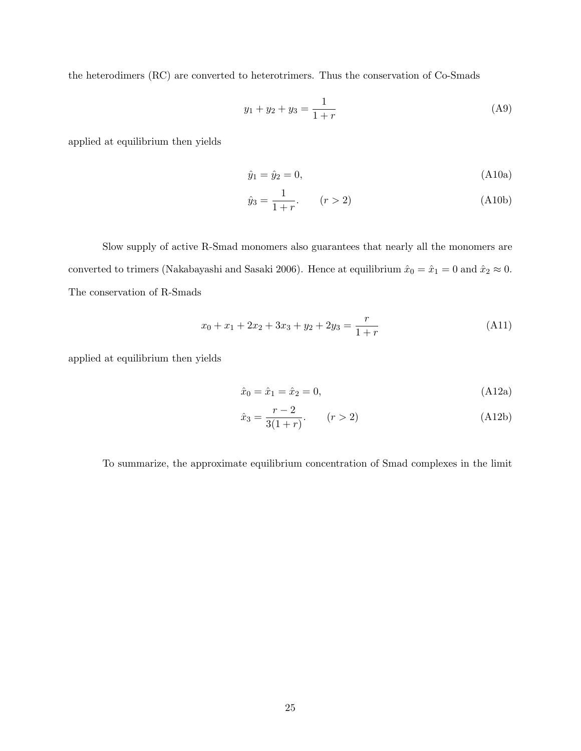the heterodimers (RC) are converted to heterotrimers. Thus the conservation of Co-Smads

$$
y_1 + y_2 + y_3 = \frac{1}{1+r}
$$
 (A9)

applied at equilibrium then yields

$$
\hat{y}_1 = \hat{y}_2 = 0,\tag{A10a}
$$

$$
\hat{y}_3 = \frac{1}{1+r}.\qquad (r > 2)\tag{A10b}
$$

Slow supply of active R-Smad monomers also guarantees that nearly all the monomers are converted to trimers (Nakabayashi and Sasaki 2006). Hence at equilibrium  $\hat{x}_0 = \hat{x}_1 = 0$  and  $\hat{x}_2 \approx 0$ . The conservation of R-Smads

$$
x_0 + x_1 + 2x_2 + 3x_3 + y_2 + 2y_3 = \frac{r}{1+r}
$$
\n(A11)

applied at equilibrium then yields

$$
\hat{x}_0 = \hat{x}_1 = \hat{x}_2 = 0,\tag{A12a}
$$

$$
\hat{x}_3 = \frac{r-2}{3(1+r)}.\tag{A12b}
$$

To summarize, the approximate equilibrium concentration of Smad complexes in the limit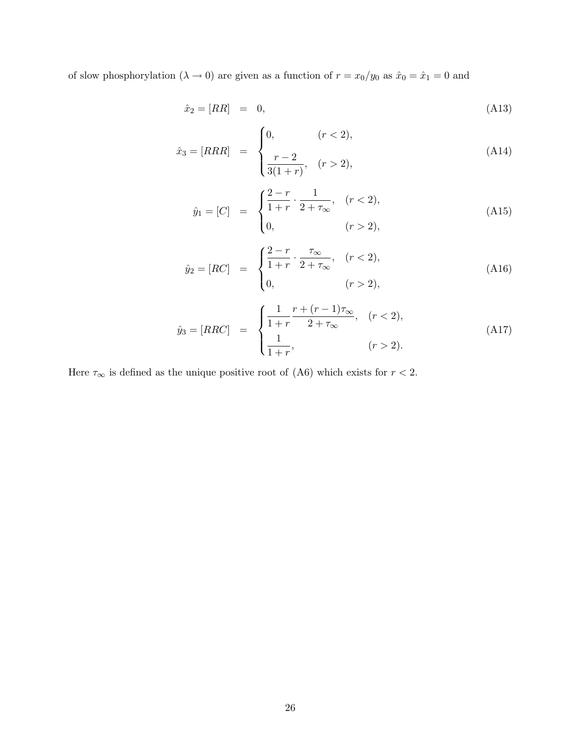of slow phosphorylation  $(\lambda \to 0)$  are given as a function of  $r = x_0/y_0$  as  $\hat{x}_0 = \hat{x}_1 = 0$  and

$$
\hat{x}_2 = [RR] = 0,\tag{A13}
$$

$$
\hat{x}_3 = [RRR] = \begin{cases} 0, & (r < 2), \\ \frac{r-2}{3(1+r)}, & (r > 2), \end{cases}
$$
(A14)

$$
\hat{y}_1 = [C] = \begin{cases} \frac{2-r}{1+r} \cdot \frac{1}{2+\tau_{\infty}}, & (r < 2), \\ 0, & (r > 2), \end{cases}
$$
 (A15)

$$
\hat{y}_2 = [RC] = \begin{cases} \frac{2-r}{1+r} \cdot \frac{\tau_{\infty}}{2+\tau_{\infty}}, & (r < 2), \\ 0, & (r > 2), \end{cases}
$$
(A16)

$$
\hat{y}_3 = [RRC] = \begin{cases} \frac{1}{1+r} \frac{r + (r-1)\tau_{\infty}}{2 + \tau_{\infty}}, & (r < 2), \\ \frac{1}{1+r}, & (r > 2). \end{cases}
$$
(A17)

Here  $\tau_{\infty}$  is defined as the unique positive root of (A6) which exists for  $r < 2$ .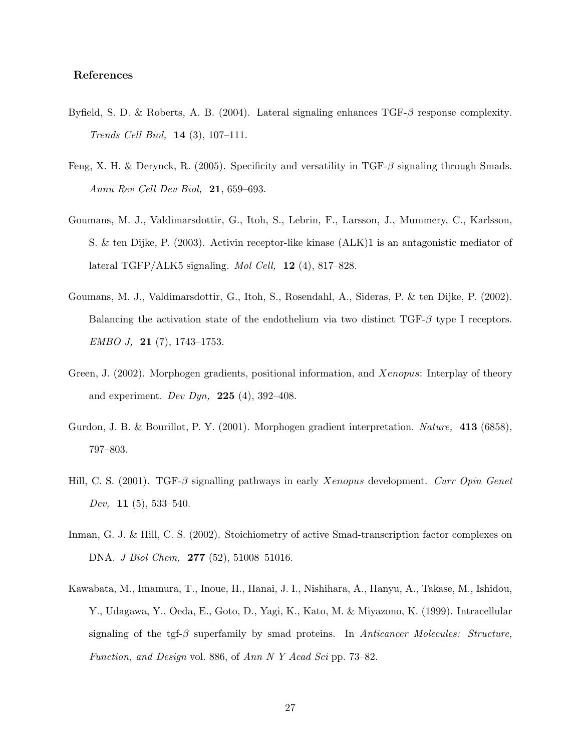#### References

- Byfield, S. D. & Roberts, A. B. (2004). Lateral signaling enhances TGF-β response complexity. Trends Cell Biol, 14 (3), 107–111.
- Feng, X. H. & Derynck, R. (2005). Specificity and versatility in TGF-β signaling through Smads. Annu Rev Cell Dev Biol, 21, 659–693.
- Goumans, M. J., Valdimarsdottir, G., Itoh, S., Lebrin, F., Larsson, J., Mummery, C., Karlsson, S. & ten Dijke, P. (2003). Activin receptor-like kinase (ALK)1 is an antagonistic mediator of lateral TGFP/ALK5 signaling. Mol Cell,  $12$  (4), 817–828.
- Goumans, M. J., Valdimarsdottir, G., Itoh, S., Rosendahl, A., Sideras, P. & ten Dijke, P. (2002). Balancing the activation state of the endothelium via two distinct  $TGF-\beta$  type I receptors.  $EMBO \, J, \; 21 \, (7), \, 1743-1753.$
- Green, J. (2002). Morphogen gradients, positional information, and Xenopus: Interplay of theory and experiment. Dev Dyn, 225 (4), 392-408.
- Gurdon, J. B. & Bourillot, P. Y. (2001). Morphogen gradient interpretation. Nature, 413 (6858), 797–803.
- Hill, C. S. (2001). TGF- $\beta$  signalling pathways in early Xenopus development. Curr Opin Genet Dev, 11  $(5)$ , 533-540.
- Inman, G. J. & Hill, C. S. (2002). Stoichiometry of active Smad-transcription factor complexes on DNA. J Biol Chem, 277 (52), 51008–51016.
- Kawabata, M., Imamura, T., Inoue, H., Hanai, J. I., Nishihara, A., Hanyu, A., Takase, M., Ishidou, Y., Udagawa, Y., Oeda, E., Goto, D., Yagi, K., Kato, M. & Miyazono, K. (1999). Intracellular signaling of the tgf- $\beta$  superfamily by smad proteins. In Anticancer Molecules: Structure, Function, and Design vol. 886, of Ann N Y Acad Sci pp. 73–82.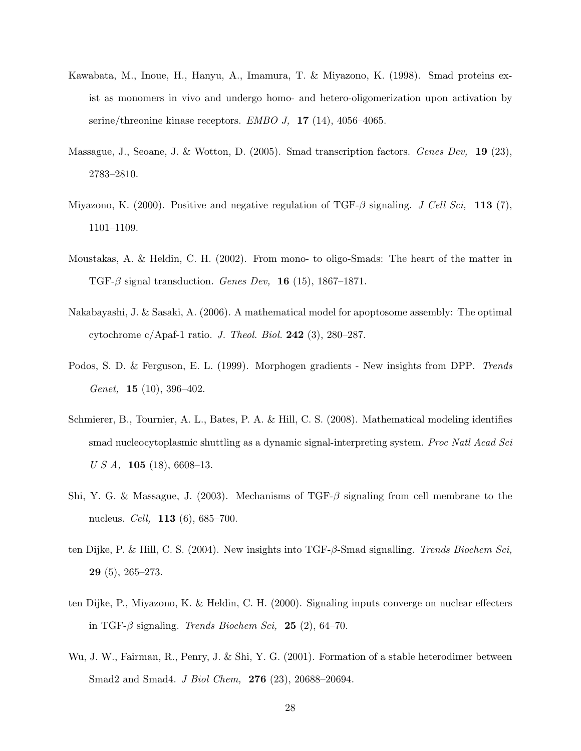- Kawabata, M., Inoue, H., Hanyu, A., Imamura, T. & Miyazono, K. (1998). Smad proteins exist as monomers in vivo and undergo homo- and hetero-oligomerization upon activation by serine/threonine kinase receptors. *EMBO J*, **17** (14), 4056-4065.
- Massague, J., Seoane, J. & Wotton, D. (2005). Smad transcription factors. *Genes Dev*, 19 (23), 2783–2810.
- Miyazono, K. (2000). Positive and negative regulation of TGF- $\beta$  signaling. J Cell Sci, 113 (7), 1101–1109.
- Moustakas, A. & Heldin, C. H. (2002). From mono- to oligo-Smads: The heart of the matter in TGF- $\beta$  signal transduction. Genes Dev, 16 (15), 1867–1871.
- Nakabayashi, J. & Sasaki, A. (2006). A mathematical model for apoptosome assembly: The optimal cytochrome c/Apaf-1 ratio. J. Theol. Biol.  $242$  (3), 280–287.
- Podos, S. D. & Ferguson, E. L. (1999). Morphogen gradients New insights from DPP. Trends Genet, 15  $(10)$ , 396-402.
- Schmierer, B., Tournier, A. L., Bates, P. A. & Hill, C. S. (2008). Mathematical modeling identifies smad nucleocytoplasmic shuttling as a dynamic signal-interpreting system. Proc Natl Acad Sci  $U S A$ , **105** (18), 6608-13.
- Shi, Y. G. & Massague, J. (2003). Mechanisms of TGF- $\beta$  signaling from cell membrane to the nucleus. Cell,  $113(6)$ , 685–700.
- ten Dijke, P. & Hill, C. S. (2004). New insights into TGF-β-Smad signalling. Trends Biochem Sci, 29 (5), 265–273.
- ten Dijke, P., Miyazono, K. & Heldin, C. H. (2000). Signaling inputs converge on nuclear effecters in TGF- $\beta$  signaling. Trends Biochem Sci, 25 (2), 64–70.
- Wu, J. W., Fairman, R., Penry, J. & Shi, Y. G. (2001). Formation of a stable heterodimer between Smad2 and Smad4. J Biol Chem, 276 (23), 20688–20694.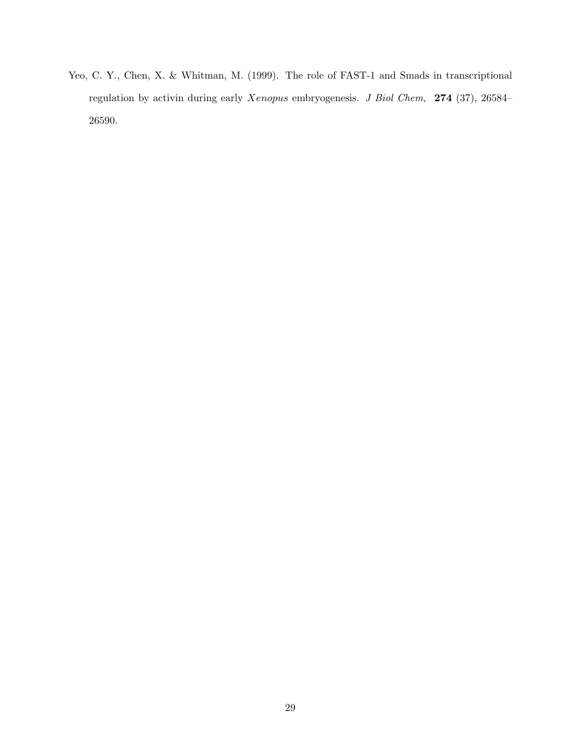Yeo, C. Y., Chen, X. & Whitman, M. (1999). The role of FAST-1 and Smads in transcriptional regulation by activin during early  $Xenopus$  embryogenesis. J Biol Chem, 274 (37), 26584– 26590.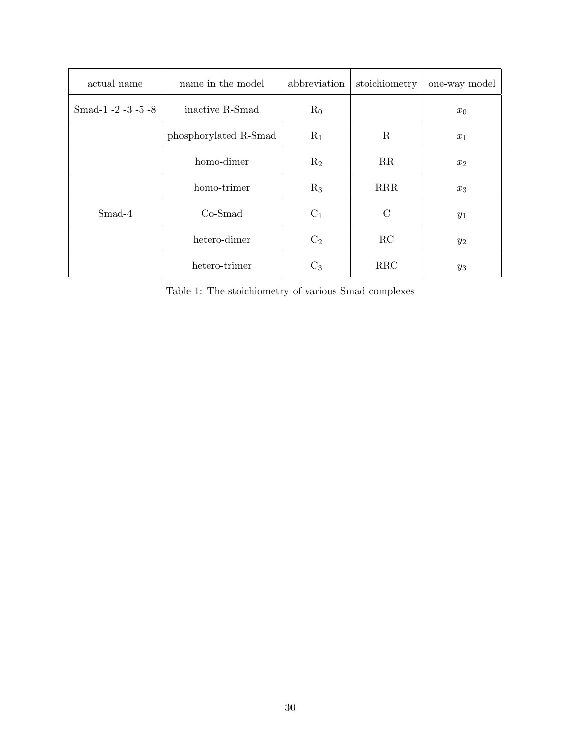| actual name    | name in the model              | abbreviation<br>stoichiometry |               | one-way model |  |  |
|----------------|--------------------------------|-------------------------------|---------------|---------------|--|--|
| Smad-1-2-3-5-8 | inactive R-Smad                | $R_0$                         |               | $x_0$         |  |  |
|                | phosphorylated R-Smad<br>$R_1$ |                               | R             | $x_1$         |  |  |
|                | homo-dimer                     | $R_2$<br>RR                   |               | $x_2$         |  |  |
|                | homo-trimer                    | <b>RRR</b><br>$R_3$<br>$x_3$  |               |               |  |  |
| Smad-4         | $Co-Smad$                      |                               | $\mathcal{C}$ | $y_1$         |  |  |
| hetero-dimer   |                                | $C_2$                         | RC            | $y_2$         |  |  |
|                | hetero-trimer                  | $\mathrm{C}_3$                | RRC           | $y_3$         |  |  |

Table 1: The stoichiometry of various Smad complexes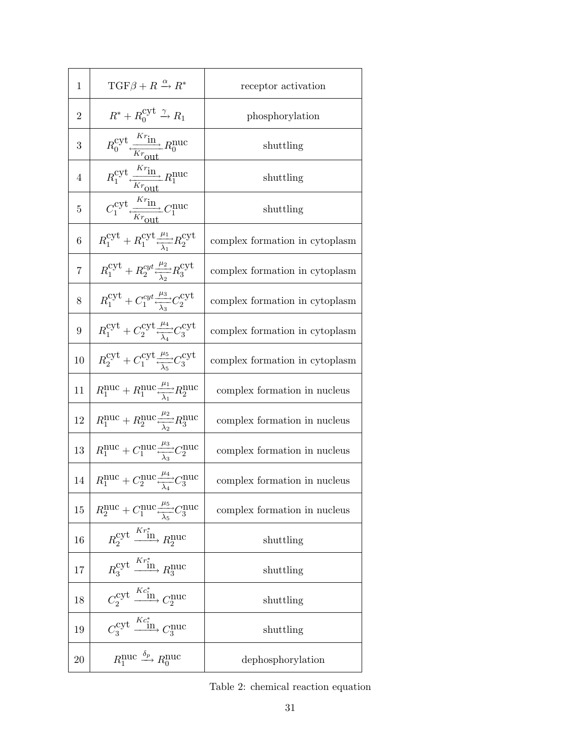| $\mathbf{1}$   | $TGF\beta + R \xrightarrow{\alpha} R^*$                                                                        | receptor activation            |
|----------------|----------------------------------------------------------------------------------------------------------------|--------------------------------|
| $\overline{2}$ | $R^* + R_0^{\text{cyt}} \overset{\gamma}{\rightarrow} R_1$                                                     | phosphorylation                |
| 3              | $R_0^{\text{cyt}} \stackrel{Kr_{\text{in}}}{\longrightarrow} R_0^{\text{nuc}}$                                 | shuttling                      |
| 4              | $R_{1}^{\text{cyt}}{\xleftarrow[Kr_{\text{out}}/Kr_{\text{out}}]}R_{1}^{\text{nuc}}$                           | shuttling                      |
| 5              | $C_1^{\text{cyt}} \stackrel{\kappa r_{\text{in}}}{\overbrace{K r_{\text{out}}}} C_1^{\text{nuc}}$              | shuttling                      |
| 6              | $R_1^{\text{cyt}}+R_1^{\text{cyt}}\frac{\mu_1}{\lambda_1}R_2^{\text{cyt}}$                                     | complex formation in cytoplasm |
| 7              | $R_1^{\text{cyt}}+R_2^{cyt} \frac{\mu_2}{\sqrt{2}}R_3^{\text{cyt}}$                                            | complex formation in cytoplasm |
| 8              | $R_1^{\text{cyt}}+C_1^{cyt}\frac{\mu_3}{\lambda_2}C_2^{\text{cyt}}$                                            | complex formation in cytoplasm |
| 9              | $R_1^{\text{cyt}}+C_2^{\text{cyt}}\frac{\mu_4}{\lambda_4}C_3^{\text{cyt}}$                                     | complex formation in cytoplasm |
| 10             | $R_2^{\text{cyt}} + C_1^{\text{cyt}} \overbrace{1}^{\mu_5} C_3^{\text{cyt}}$                                   | complex formation in cytoplasm |
| 11             | $R_1^{\text{nuc}}+R_1^{\text{nuc}}\frac{\mu_1}{\lambda_1}R_2^{\text{nuc}}$                                     | complex formation in nucleus   |
| 12             | $R_1^{\text{nuc}}+R_2^{\text{nuc}}\frac{\mu_2}{\lambda_2}R_3^{\text{nuc}}$                                     | complex formation in nucleus   |
| 13             | $R_1^{\text{nuc}} + C_1^{\text{nuc}} \overbrace{ \overbrace{ \overline{\Lambda_2}}^{ \mu_3}} C_2^{\text{nuc}}$ | complex formation in nucleus   |
| 14             | $R_1^{\text{nuc}} + C_2^{\text{nuc}} \overbrace{\lambda_1}^{P4} C_3^{\text{nuc}}$                              | complex formation in nucleus   |
| 15             | $R_2^{\text{nuc}} + C_1^{\text{nuc}} \frac{\mu_5}{\lambda_5} C_3^{\text{nuc}}$                                 | complex formation in nucleus   |
| 16             | $R_2^{\text{cyt}} \xrightarrow{Kr_{11}^*} R_2^{\text{nuc}}$                                                    | shuttling                      |
| 17             | $R_3^{\text{cyt}} \xrightarrow{Kr_{11}^*} R_3^{\text{nuc}}$                                                    | shuttling                      |
| 18             | $C_2^{\text{cyt}}\xrightarrow{Kc_{1}^*} C_2^{\text{nuc}}$                                                      | shuttling                      |
| 19             | $C_3^{\text{cyt}} \xrightarrow{Kc_{11}^*} C_3^{\text{nuc}}$                                                    | shuttling                      |
| 20             | $R_1^{\text{nuc}} \xrightarrow{\delta_p} R_0^{\text{nuc}}$                                                     | dephosphorylation              |

Table 2: chemical reaction equation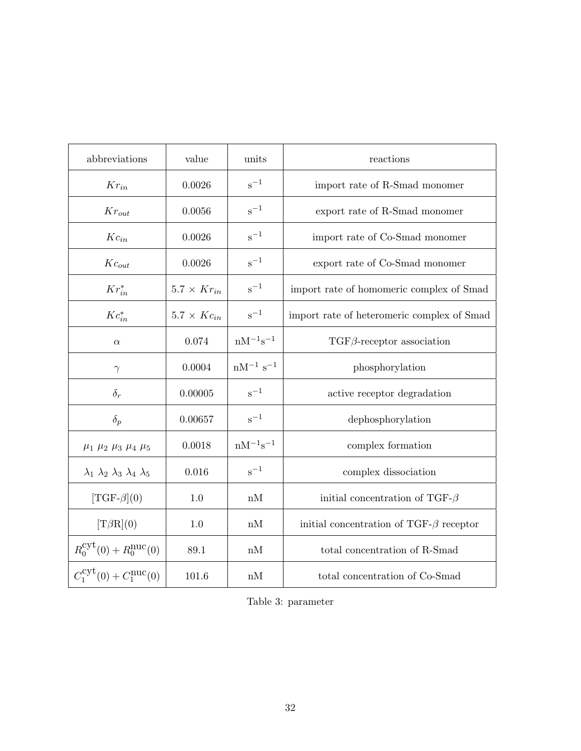| abbreviations                                               | value                | units                | reactions                                      |
|-------------------------------------------------------------|----------------------|----------------------|------------------------------------------------|
| $Kr_{in}$                                                   | 0.0026               | $s^{-1}$             | import rate of R-Smad monomer                  |
| $Kr_{out}$                                                  | 0.0056               | $s^{-1}$             | export rate of R-Smad monomer                  |
| $Kc_{in}$                                                   | 0.0026               | $s^{-1}$             | import rate of Co-Smad monomer                 |
| $Kc_{out}$                                                  | 0.0026               | $s^{-1}$             | export rate of Co-Smad monomer                 |
| $Kr_{in}^*$                                                 | $5.7 \times Kr_{in}$ | $s^{-1}$             | import rate of homomeric complex of Smad       |
| $Kc_{in}^*$                                                 | $5.7 \times Kc_{in}$ | $s^{-1}$             | import rate of heteromeric complex of Smad     |
| $\alpha$                                                    | 0.074                | $nM^{-1}s^{-1}$      | $TGF\beta$ -receptor association               |
| $\gamma$                                                    | 0.0004               | $\rm nM^{-1}~s^{-1}$ | phosphorylation                                |
| $\delta_r$                                                  | 0.00005              | $s^{-1}$             | active receptor degradation                    |
| $\delta_p$                                                  | 0.00657              | $s^{-1}$             | dephosphorylation                              |
| $\mu_1$ $\mu_2$ $\mu_3$ $\mu_4$ $\mu_5$                     | 0.0018               | $nM^{-1}s^{-1}$      | complex formation                              |
| $\lambda_1$ $\lambda_2$ $\lambda_3$ $\lambda_4$ $\lambda_5$ | 0.016                | $s^{-1}$             | complex dissociation                           |
| $[TGF-\beta](0)$                                            | 1.0                  | $\mathrm{nM}$        | initial concentration of TGF- $\beta$          |
| $[T\beta R](0)$                                             | 1.0                  | nM                   | initial concentration of TGF- $\beta$ receptor |
| $R_0^{\text{cyt}}(0) + R_0^{\text{nuc}}(0)$                 | 89.1                 | nM                   | total concentration of R-Smad                  |
| $C_1^{\text{cyt}}(0) + C_1^{\text{nuc}}(0)$                 | 101.6                | nM                   | total concentration of Co-Smad                 |

Table 3: parameter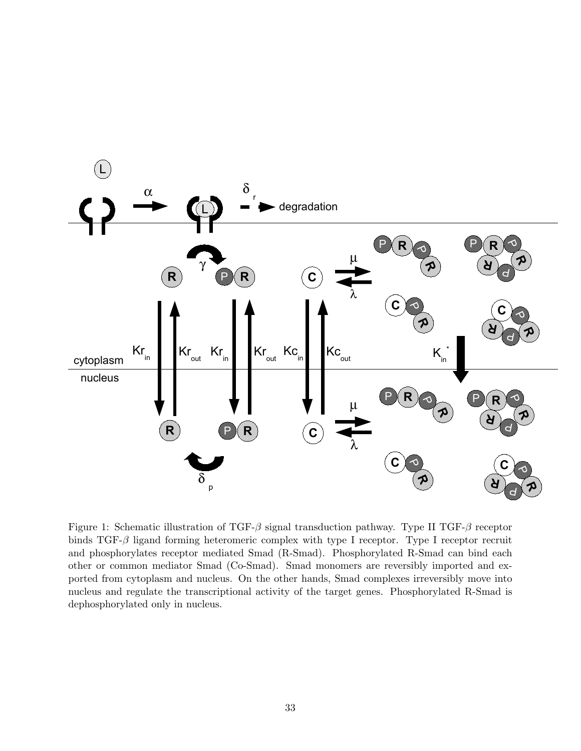

Figure 1: Schematic illustration of TGF- $\beta$  signal transduction pathway. Type II TGF- $\beta$  receptor binds TGF- $\beta$  ligand forming heteromeric complex with type I receptor. Type I receptor recruit and phosphorylates receptor mediated Smad (R-Smad). Phosphorylated R-Smad can bind each other or common mediator Smad (Co-Smad). Smad monomers are reversibly imported and exported from cytoplasm and nucleus. On the other hands, Smad complexes irreversibly move into nucleus and regulate the transcriptional activity of the target genes. Phosphorylated R-Smad is dephosphorylated only in nucleus.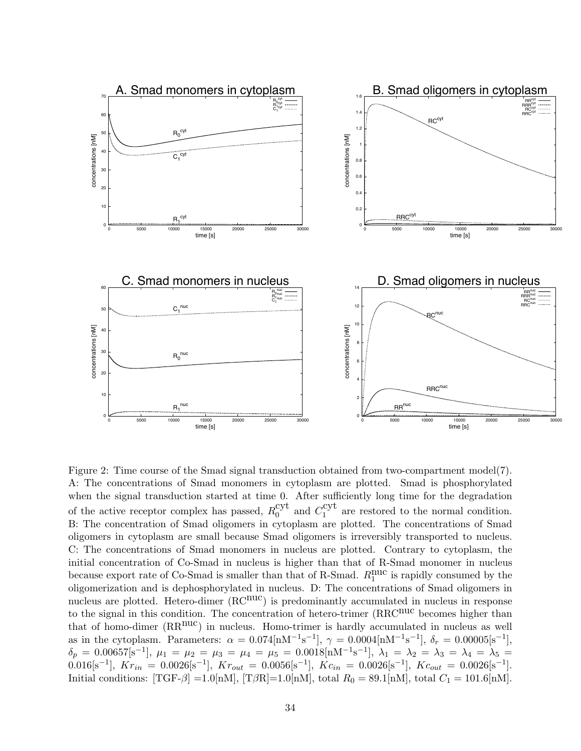

Figure 2: Time course of the Smad signal transduction obtained from two-compartment model(7). A: The concentrations of Smad monomers in cytoplasm are plotted. Smad is phosphorylated when the signal transduction started at time 0. After sufficiently long time for the degradation of the active receptor complex has passed,  $R_0^{\text{cyt}}$  $_{0}^{\text{cyt}}$  and  $C_{1}^{\text{cyt}}$  $1<sup>1</sup>$  are restored to the normal condition. B: The concentration of Smad oligomers in cytoplasm are plotted. The concentrations of Smad oligomers in cytoplasm are small because Smad oligomers is irreversibly transported to nucleus. C: The concentrations of Smad monomers in nucleus are plotted. Contrary to cytoplasm, the initial concentration of Co-Smad in nucleus is higher than that of R-Smad monomer in nucleus because export rate of Co-Smad is smaller than that of R-Smad.  $R_1^{\text{nuc}}$  is rapidly consumed by the oligomerization and is dephosphorylated in nucleus. D: The concentrations of Smad oligomers in nucleus are plotted. Hetero-dimer  $(RC^{nuc})$  is predominantly accumulated in nucleus in response to the signal in this condition. The concentration of hetero-trimer (RRC<sup>nuc</sup> becomes higher than that of homo-dimer  $(RR^{nuc})$  in nucleus. Homo-trimer is hardly accumulated in nucleus as well as in the cytoplasm. Parameters:  $\alpha = 0.074 \text{[nM}^{-1} \text{s}^{-1} \text{]}, \gamma = 0.0004 \text{[nM}^{-1} \text{s}^{-1} \text{]}, \delta_r = 0.00005 \text{[s}^{-1} \text{]},$  $\delta_p\,=\,0.00657[{\rm s}^{-1}],\;\mu_1\,=\,\mu_2\,=\,\mu_3\,=\,\mu_4\,=\,\mu_5\,=\,0.0018[{\rm nM^{-1}s^{-1}}],\;\lambda_1\,=\,\lambda_2\,=\,\lambda_3\,=\,\lambda_4\,=\,\lambda_5\,=\,\lambda_6\,=\,\lambda_7\,=\,\lambda_8\,=\,\lambda_9\,=\,\lambda_1\,=\,\lambda_1\,=\,\lambda_2\,=\,\lambda_4\,=\,\lambda_5\,=\,\lambda_6\,=\,\lambda_7\,=\,\lambda_8\,=\,\lambda_9\,=\,\lambda_9\,=\,\lambda_1\,=\,\lambda$  $0.016[s^{-1}], Kr_{in} = 0.0026[s^{-1}], Kr_{out} = 0.0056[s^{-1}], Kc_{in} = 0.0026[s^{-1}], Kc_{out} = 0.0026[s^{-1}].$ Initial conditions:  $[TGF- $\beta$ ] =1.0[nM],  $[T\beta R]=1.0[nM]$ , total  $R_0 = 89.1[nM]$ , total  $C_1 = 101.6[nM]$ .$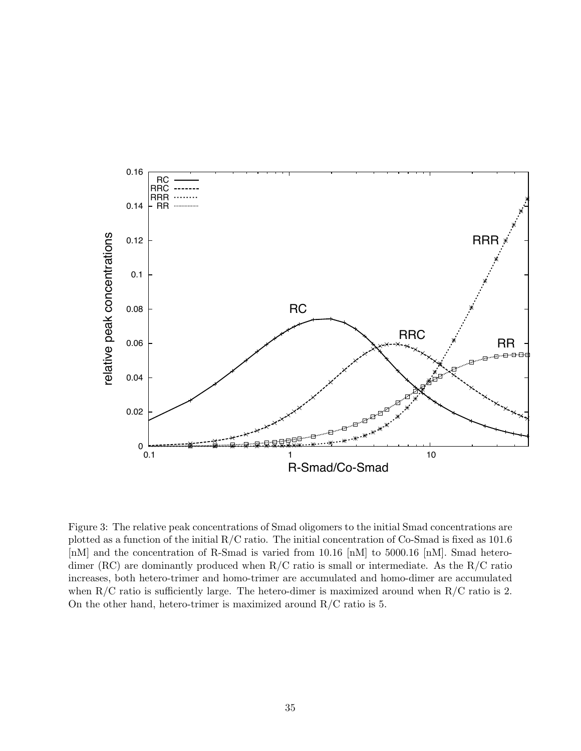

Figure 3: The relative peak concentrations of Smad oligomers to the initial Smad concentrations are plotted as a function of the initial R/C ratio. The initial concentration of Co-Smad is fixed as 101.6 [nM] and the concentration of R-Smad is varied from 10.16 [nM] to 5000.16 [nM]. Smad heterodimer (RC) are dominantly produced when R/C ratio is small or intermediate. As the R/C ratio increases, both hetero-trimer and homo-trimer are accumulated and homo-dimer are accumulated when  $R/C$  ratio is sufficiently large. The hetero-dimer is maximized around when  $R/C$  ratio is 2. On the other hand, hetero-trimer is maximized around  $R/C$  ratio is 5.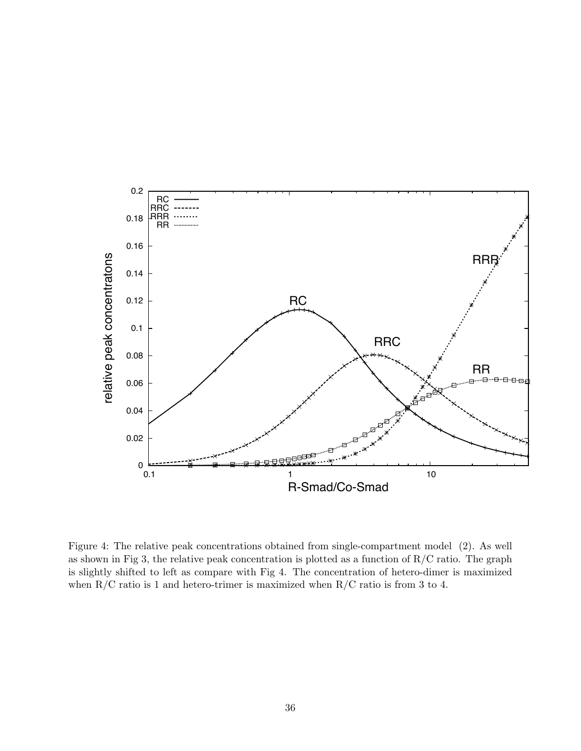

Figure 4: The relative peak concentrations obtained from single-compartment model (2). As well as shown in Fig 3, the relative peak concentration is plotted as a function of  $R/C$  ratio. The graph is slightly shifted to left as compare with Fig 4. The concentration of hetero-dimer is maximized when  $R/C$  ratio is 1 and hetero-trimer is maximized when  $R/C$  ratio is from 3 to 4.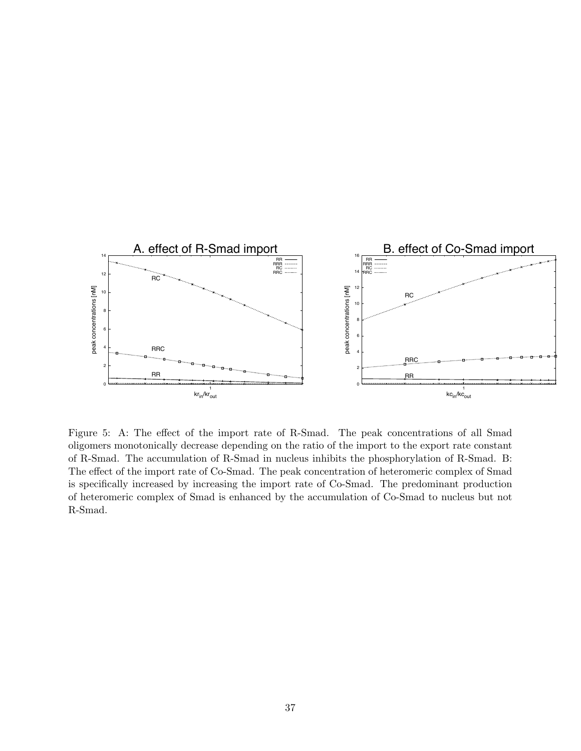

Figure 5: A: The effect of the import rate of R-Smad. The peak concentrations of all Smad oligomers monotonically decrease depending on the ratio of the import to the export rate constant of R-Smad. The accumulation of R-Smad in nucleus inhibits the phosphorylation of R-Smad. B: The effect of the import rate of Co-Smad. The peak concentration of heteromeric complex of Smad is specifically increased by increasing the import rate of Co-Smad. The predominant production of heteromeric complex of Smad is enhanced by the accumulation of Co-Smad to nucleus but not R-Smad.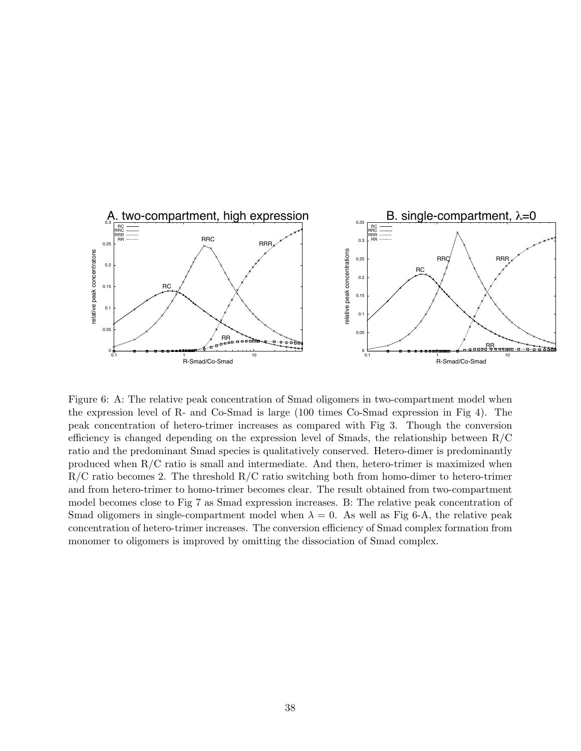

Figure 6: A: The relative peak concentration of Smad oligomers in two-compartment model when the expression level of R- and Co-Smad is large (100 times Co-Smad expression in Fig 4). The peak concentration of hetero-trimer increases as compared with Fig 3. Though the conversion efficiency is changed depending on the expression level of Smads, the relationship between  $R/C$ ratio and the predominant Smad species is qualitatively conserved. Hetero-dimer is predominantly produced when R/C ratio is small and intermediate. And then, hetero-trimer is maximized when R/C ratio becomes 2. The threshold R/C ratio switching both from homo-dimer to hetero-trimer and from hetero-trimer to homo-trimer becomes clear. The result obtained from two-compartment model becomes close to Fig 7 as Smad expression increases. B: The relative peak concentration of Smad oligomers in single-compartment model when  $\lambda = 0$ . As well as Fig 6-A, the relative peak concentration of hetero-trimer increases. The conversion efficiency of Smad complex formation from monomer to oligomers is improved by omitting the dissociation of Smad complex.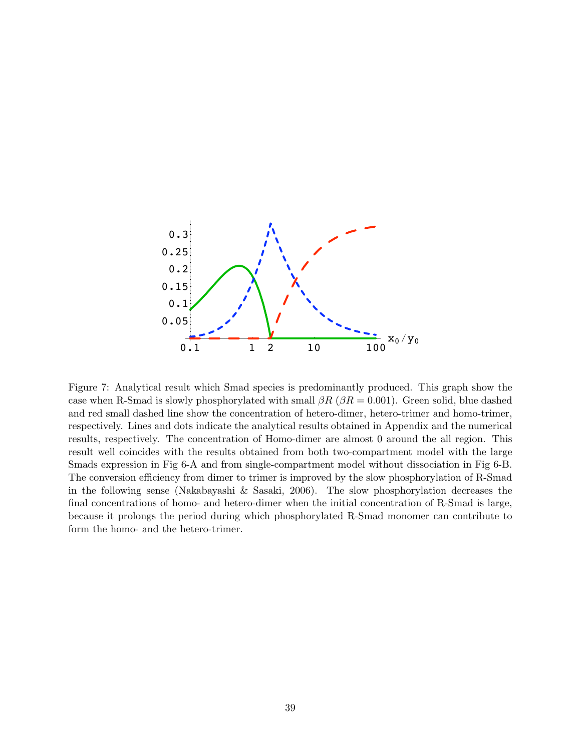

Figure 7: Analytical result which Smad species is predominantly produced. This graph show the case when R-Smad is slowly phosphorylated with small  $\beta R$  ( $\beta R = 0.001$ ). Green solid, blue dashed and red small dashed line show the concentration of hetero-dimer, hetero-trimer and homo-trimer, respectively. Lines and dots indicate the analytical results obtained in Appendix and the numerical results, respectively. The concentration of Homo-dimer are almost 0 around the all region. This result well coincides with the results obtained from both two-compartment model with the large Smads expression in Fig 6-A and from single-compartment model without dissociation in Fig 6-B. The conversion efficiency from dimer to trimer is improved by the slow phosphorylation of R-Smad in the following sense (Nakabayashi & Sasaki, 2006). The slow phosphorylation decreases the final concentrations of homo- and hetero-dimer when the initial concentration of R-Smad is large, because it prolongs the period during which phosphorylated R-Smad monomer can contribute to form the homo- and the hetero-trimer.